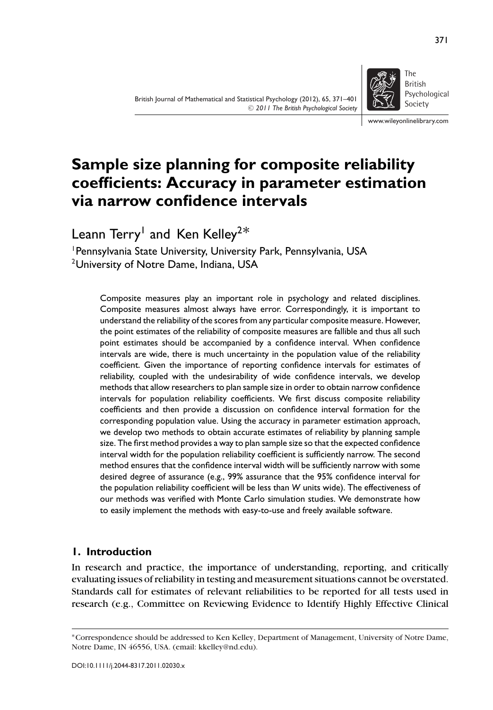

British Psychological Society

www.wileyonlinelibrary.com

# **Sample size planning for composite reliability coefficients: Accuracy in parameter estimation via narrow confidence intervals**

Leann Terry<sup>1</sup> and Ken Kelley<sup>2</sup><sup>\*</sup>

1Pennsylvania State University, University Park, Pennsylvania, USA 2University of Notre Dame, Indiana, USA

Composite measures play an important role in psychology and related disciplines. Composite measures almost always have error. Correspondingly, it is important to understand the reliability of the scores from any particular composite measure. However, the point estimates of the reliability of composite measures are fallible and thus all such point estimates should be accompanied by a confidence interval. When confidence intervals are wide, there is much uncertainty in the population value of the reliability coefficient. Given the importance of reporting confidence intervals for estimates of reliability, coupled with the undesirability of wide confidence intervals, we develop methods that allow researchers to plan sample size in order to obtain narrow confidence intervals for population reliability coefficients. We first discuss composite reliability coefficients and then provide a discussion on confidence interval formation for the corresponding population value. Using the accuracy in parameter estimation approach, we develop two methods to obtain accurate estimates of reliability by planning sample size. The first method provides a way to plan sample size so that the expected confidence interval width for the population reliability coefficient is sufficiently narrow. The second method ensures that the confidence interval width will be sufficiently narrow with some desired degree of assurance (e.g., 99% assurance that the 95% confidence interval for the population reliability coefficient will be less than *W* units wide). The effectiveness of our methods was verified with Monte Carlo simulation studies. We demonstrate how to easily implement the methods with easy-to-use and freely available software.

# **1. Introduction**

In research and practice, the importance of understanding, reporting, and critically evaluating issues of reliability in testing and measurement situations cannot be overstated. Standards call for estimates of relevant reliabilities to be reported for all tests used in research (e.g., Committee on Reviewing Evidence to Identify Highly Effective Clinical

<sup>∗</sup>Correspondence should be addressed to Ken Kelley, Department of Management, University of Notre Dame, Notre Dame, IN 46556, USA. (email: kkelley@nd.edu).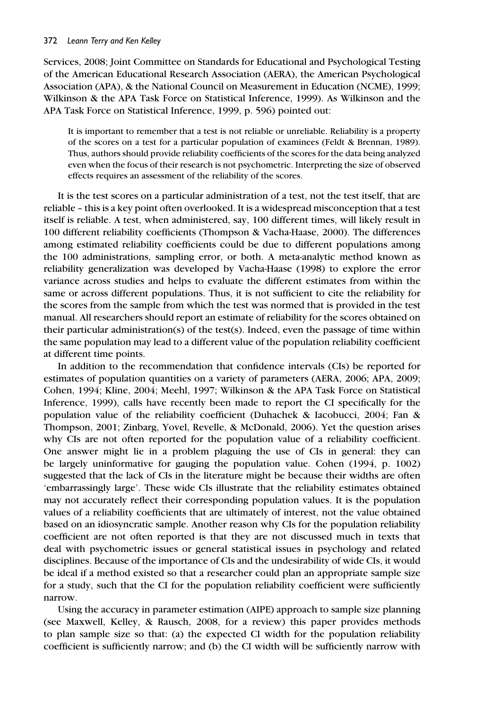#### 372 *Leann Terry and Ken Kelley*

Services, 2008; Joint Committee on Standards for Educational and Psychological Testing of the American Educational Research Association (AERA), the American Psychological Association (APA), & the National Council on Measurement in Education (NCME), 1999; Wilkinson & the APA Task Force on Statistical Inference, 1999). As Wilkinson and the APA Task Force on Statistical Inference, 1999, p. 596) pointed out:

It is important to remember that a test is not reliable or unreliable. Reliability is a property of the scores on a test for a particular population of examinees (Feldt & Brennan, 1989). Thus, authors should provide reliability coefficients of the scores for the data being analyzed even when the focus of their research is not psychometric. Interpreting the size of observed effects requires an assessment of the reliability of the scores.

It is the test scores on a particular administration of a test, not the test itself, that are reliable – this is a key point often overlooked. It is a widespread misconception that a test itself is reliable. A test, when administered, say, 100 different times, will likely result in 100 different reliability coefficients (Thompson & Vacha-Haase, 2000). The differences among estimated reliability coefficients could be due to different populations among the 100 administrations, sampling error, or both. A meta-analytic method known as reliability generalization was developed by Vacha-Haase (1998) to explore the error variance across studies and helps to evaluate the different estimates from within the same or across different populations. Thus, it is not sufficient to cite the reliability for the scores from the sample from which the test was normed that is provided in the test manual. All researchers should report an estimate of reliability for the scores obtained on their particular administration(s) of the test(s). Indeed, even the passage of time within the same population may lead to a different value of the population reliability coefficient at different time points.

In addition to the recommendation that confidence intervals (CIs) be reported for estimates of population quantities on a variety of parameters (AERA, 2006; APA, 2009; Cohen, 1994; Kline, 2004; Meehl, 1997; Wilkinson & the APA Task Force on Statistical Inference, 1999), calls have recently been made to report the CI specifically for the population value of the reliability coefficient (Duhachek & Iacobucci, 2004; Fan & Thompson, 2001; Zinbarg, Yovel, Revelle, & McDonald, 2006). Yet the question arises why CIs are not often reported for the population value of a reliability coefficient. One answer might lie in a problem plaguing the use of CIs in general: they can be largely uninformative for gauging the population value. Cohen (1994, p. 1002) suggested that the lack of CIs in the literature might be because their widths are often 'embarrassingly large'. These wide CIs illustrate that the reliability estimates obtained may not accurately reflect their corresponding population values. It is the population values of a reliability coefficients that are ultimately of interest, not the value obtained based on an idiosyncratic sample. Another reason why CIs for the population reliability coefficient are not often reported is that they are not discussed much in texts that deal with psychometric issues or general statistical issues in psychology and related disciplines. Because of the importance of CIs and the undesirability of wide CIs, it would be ideal if a method existed so that a researcher could plan an appropriate sample size for a study, such that the CI for the population reliability coefficient were sufficiently narrow.

Using the accuracy in parameter estimation (AIPE) approach to sample size planning (see Maxwell, Kelley, & Rausch, 2008, for a review) this paper provides methods to plan sample size so that: (a) the expected CI width for the population reliability coefficient is sufficiently narrow; and (b) the CI width will be sufficiently narrow with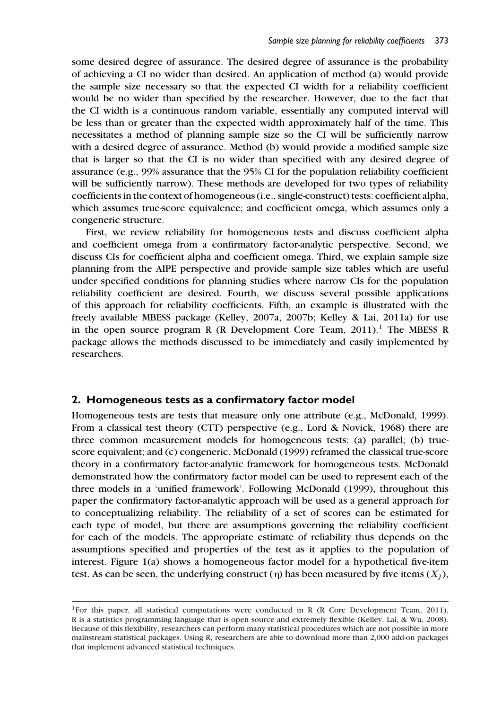some desired degree of assurance. The desired degree of assurance is the probability of achieving a CI no wider than desired. An application of method (a) would provide the sample size necessary so that the expected CI width for a reliability coefficient would be no wider than specified by the researcher. However, due to the fact that the CI width is a continuous random variable, essentially any computed interval will be less than or greater than the expected width approximately half of the time. This necessitates a method of planning sample size so the CI will be sufficiently narrow with a desired degree of assurance. Method (b) would provide a modified sample size that is larger so that the CI is no wider than specified with any desired degree of assurance (e.g., 99% assurance that the 95% CI for the population reliability coefficient will be sufficiently narrow). These methods are developed for two types of reliability coefficients in the context of homogeneous (i.e., single-construct) tests: coefficient alpha, which assumes true-score equivalence; and coefficient omega, which assumes only a congeneric structure.

First, we review reliability for homogeneous tests and discuss coefficient alpha and coefficient omega from a confirmatory factor-analytic perspective. Second, we discuss CIs for coefficient alpha and coefficient omega. Third, we explain sample size planning from the AIPE perspective and provide sample size tables which are useful under specified conditions for planning studies where narrow CIs for the population reliability coefficient are desired. Fourth, we discuss several possible applications of this approach for reliability coefficients. Fifth, an example is illustrated with the freely available MBESS package (Kelley, 2007a, 2007b; Kelley & Lai, 2011a) for use in the open source program R (R Development Core Team,  $2011$ ).<sup>1</sup> The MBESS R package allows the methods discussed to be immediately and easily implemented by researchers.

## **2. Homogeneous tests as a confirmatory factor model**

Homogeneous tests are tests that measure only one attribute (e.g., McDonald, 1999). From a classical test theory (CTT) perspective (e.g., Lord & Novick, 1968) there are three common measurement models for homogeneous tests: (a) parallel; (b) truescore equivalent; and (c) congeneric. McDonald (1999) reframed the classical true-score theory in a confirmatory factor-analytic framework for homogeneous tests. McDonald demonstrated how the confirmatory factor model can be used to represent each of the three models in a 'unified framework'. Following McDonald (1999), throughout this paper the confirmatory factor-analytic approach will be used as a general approach for to conceptualizing reliability. The reliability of a set of scores can be estimated for each type of model, but there are assumptions governing the reliability coefficient for each of the models. The appropriate estimate of reliability thus depends on the assumptions specified and properties of the test as it applies to the population of interest. Figure 1(a) shows a homogeneous factor model for a hypothetical five-item test. As can be seen, the underlying construct  $(\eta)$  has been measured by five items  $(X_j)$ ,

<sup>&</sup>lt;sup>1</sup>For this paper, all statistical computations were conducted in R (R Core Development Team, 2011). R is a statistics programming language that is open source and extremely flexible (Kelley, Lai, & Wu, 2008). Because of this flexibility, researchers can perform many statistical procedures which are not possible in more mainstream statistical packages. Using R, researchers are able to download more than 2,000 add-on packages that implement advanced statistical techniques.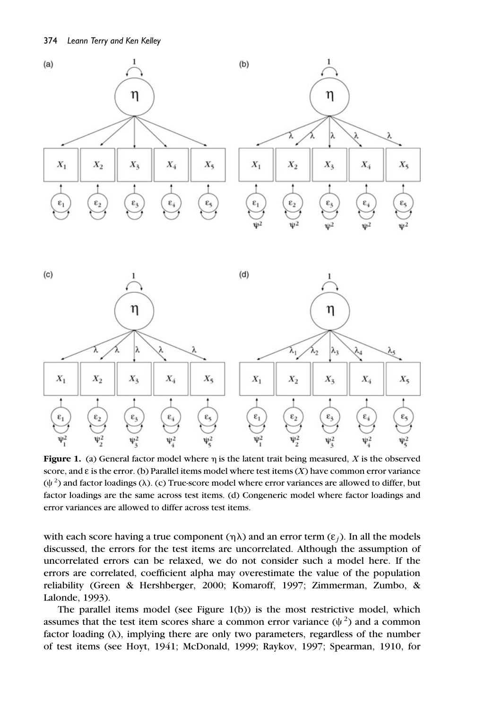

**Figure 1.** (a) General factor model where  $\eta$  is the latent trait being measured, *X* is the observed score, and ε is the error. (b) Parallel items model where test items (*X*) have common error variance  $(\psi^2)$  and factor loadings ( $\lambda$ ). (c) True-score model where error variances are allowed to differ, but factor loadings are the same across test items. (d) Congeneric model where factor loadings and error variances are allowed to differ across test items.

with each score having a true component ( $\eta \lambda$ ) and an error term ( $\varepsilon_j$ ). In all the models discussed, the errors for the test items are uncorrelated. Although the assumption of uncorrelated errors can be relaxed, we do not consider such a model here. If the errors are correlated, coefficient alpha may overestimate the value of the population reliability (Green & Hershberger, 2000; Komaroff, 1997; Zimmerman, Zumbo, & Lalonde, 1993).

The parallel items model (see Figure 1(b)) is the most restrictive model, which assumes that the test item scores share a common error variance  $(\psi^2)$  and a common factor loading  $(\lambda)$ , implying there are only two parameters, regardless of the number of test items (see Hoyt, 1941; McDonald, 1999; Raykov, 1997; Spearman, 1910, for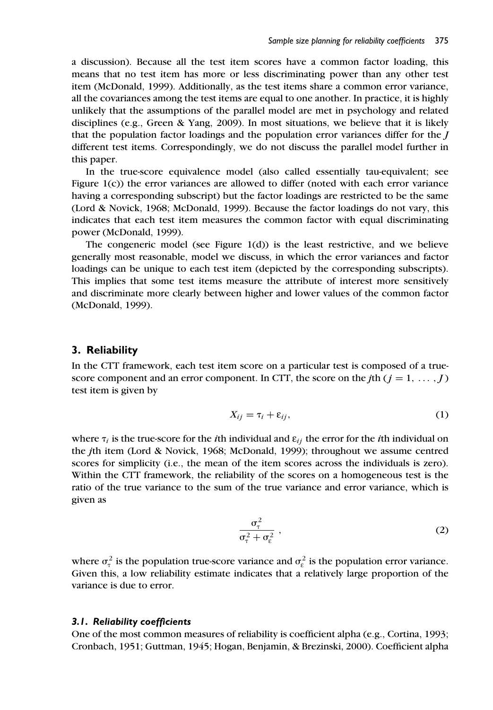a discussion). Because all the test item scores have a common factor loading, this means that no test item has more or less discriminating power than any other test item (McDonald, 1999). Additionally, as the test items share a common error variance, all the covariances among the test items are equal to one another. In practice, it is highly unlikely that the assumptions of the parallel model are met in psychology and related disciplines (e.g., Green & Yang, 2009). In most situations, we believe that it is likely that the population factor loadings and the population error variances differ for the *J* different test items. Correspondingly, we do not discuss the parallel model further in this paper.

In the true-score equivalence model (also called essentially tau-equivalent; see Figure 1(c)) the error variances are allowed to differ (noted with each error variance having a corresponding subscript) but the factor loadings are restricted to be the same (Lord & Novick, 1968; McDonald, 1999). Because the factor loadings do not vary, this indicates that each test item measures the common factor with equal discriminating power (McDonald, 1999).

The congeneric model (see Figure 1(d)) is the least restrictive, and we believe generally most reasonable, model we discuss, in which the error variances and factor loadings can be unique to each test item (depicted by the corresponding subscripts). This implies that some test items measure the attribute of interest more sensitively and discriminate more clearly between higher and lower values of the common factor (McDonald, 1999).

# **3. Reliability**

In the CTT framework, each test item score on a particular test is composed of a truescore component and an error component. In CTT, the score on the *j*th ( $j = 1, \ldots, J$ ) test item is given by

$$
X_{ij} = \tau_i + \varepsilon_{ij},\tag{1}
$$

where  $\tau_i$  is the true-score for the *i*th individual and  $\varepsilon_{ij}$  the error for the *i*th individual on the *j*th item (Lord & Novick, 1968; McDonald, 1999); throughout we assume centred scores for simplicity (i.e., the mean of the item scores across the individuals is zero). Within the CTT framework, the reliability of the scores on a homogeneous test is the ratio of the true variance to the sum of the true variance and error variance, which is given as

$$
\frac{\sigma_{\tau}^2}{\sigma_{\tau}^2 + \sigma_{\epsilon}^2} \tag{2}
$$

where  $\sigma_{\tau}^2$  is the population true-score variance and  $\sigma_{\varepsilon}^2$  is the population error variance. Given this, a low reliability estimate indicates that a relatively large proportion of the variance is due to error.

#### *3.1***.** *Reliability coefficients*

One of the most common measures of reliability is coefficient alpha (e.g., Cortina, 1993; Cronbach, 1951; Guttman, 1945; Hogan, Benjamin, & Brezinski, 2000). Coefficient alpha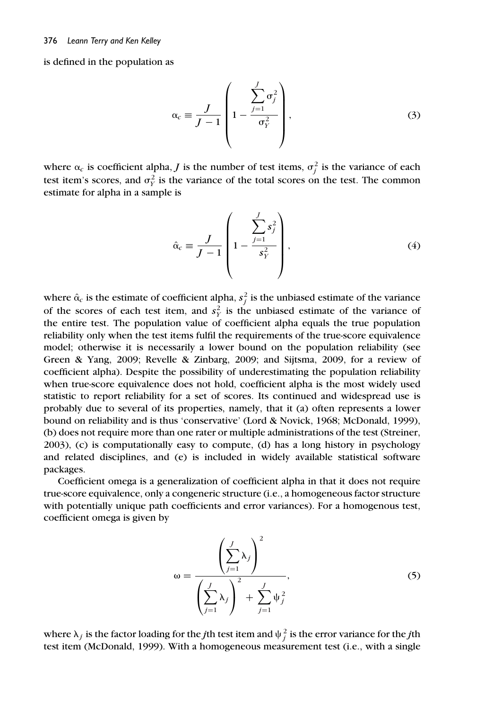is defined in the population as

$$
\alpha_c \equiv \frac{J}{J-1} \left( 1 - \frac{\sum_{j=1}^{J} \sigma_j^2}{\sigma_Y^2} \right),
$$
\n(3)

where  $\alpha_c$  is coefficient alpha, *J* is the number of test items,  $\sigma_j^2$  is the variance of each test item's scores, and  $\sigma_Y^2$  is the variance of the total scores on the test. The common estimate for alpha in a sample is

$$
\hat{\alpha}_c \equiv \frac{J}{J-1} \left( 1 - \frac{\sum_{j=1}^J s_j^2}{s_Y^2} \right),\tag{4}
$$

where  $\hat{\alpha}_c$  is the estimate of coefficient alpha,  $s_j^2$  is the unbiased estimate of the variance of the scores of each test item, and  $s_Y^2$  is the unbiased estimate of the variance of the entire test. The population value of coefficient alpha equals the true population reliability only when the test items fulfil the requirements of the true-score equivalence model; otherwise it is necessarily a lower bound on the population reliability (see Green & Yang, 2009; Revelle & Zinbarg, 2009; and Sijtsma, 2009, for a review of coefficient alpha). Despite the possibility of underestimating the population reliability when true-score equivalence does not hold, coefficient alpha is the most widely used statistic to report reliability for a set of scores. Its continued and widespread use is probably due to several of its properties, namely, that it (a) often represents a lower bound on reliability and is thus 'conservative' (Lord & Novick, 1968; McDonald, 1999), (b) does not require more than one rater or multiple administrations of the test (Streiner, 2003), (c) is computationally easy to compute, (d) has a long history in psychology and related disciplines, and (e) is included in widely available statistical software packages.

Coefficient omega is a generalization of coefficient alpha in that it does not require true-score equivalence, only a congeneric structure (i.e., a homogeneous factor structure with potentially unique path coefficients and error variances). For a homogenous test, coefficient omega is given by

$$
\omega = \frac{\left(\sum_{j=1}^{J} \lambda_j\right)^2}{\left(\sum_{j=1}^{J} \lambda_j\right)^2 + \sum_{j=1}^{J} \psi_j^2},\tag{5}
$$

where  $\lambda_j$  is the factor loading for the *j*th test item and  $\psi_j^2$  is the error variance for the *j*th test item (McDonald, 1999). With a homogeneous measurement test (i.e., with a single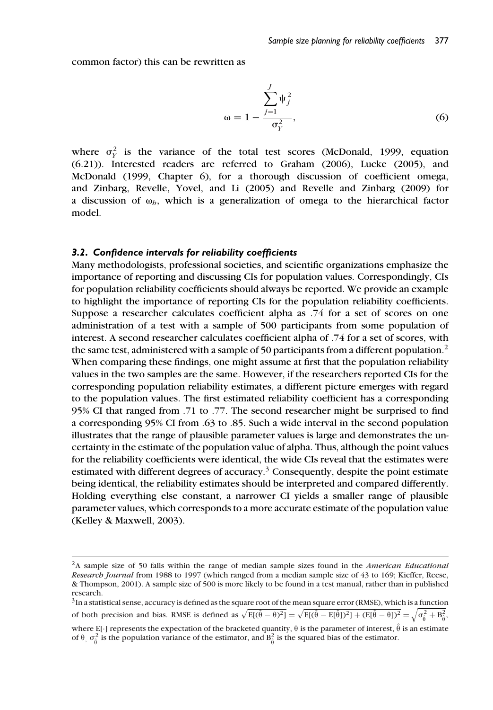common factor) this can be rewritten as

$$
\omega = 1 - \frac{\sum_{j=1}^{J} \psi_j^2}{\sigma_Y^2},
$$
\n(6)

where  $\sigma_Y^2$  is the variance of the total test scores (McDonald, 1999, equation (6.21)). Interested readers are referred to Graham (2006), Lucke (2005), and McDonald (1999, Chapter 6), for a thorough discussion of coefficient omega, and Zinbarg, Revelle, Yovel, and Li (2005) and Revelle and Zinbarg (2009) for a discussion of  $\omega_p$ , which is a generalization of omega to the hierarchical factor model.

#### *3.2***.** *Confidence intervals for reliability coefficients*

Many methodologists, professional societies, and scientific organizations emphasize the importance of reporting and discussing CIs for population values. Correspondingly, CIs for population reliability coefficients should always be reported. We provide an example to highlight the importance of reporting CIs for the population reliability coefficients. Suppose a researcher calculates coefficient alpha as .74 for a set of scores on one administration of a test with a sample of 500 participants from some population of interest. A second researcher calculates coefficient alpha of .74 for a set of scores, with the same test, administered with a sample of 50 participants from a different population.<sup>2</sup> When comparing these findings, one might assume at first that the population reliability values in the two samples are the same. However, if the researchers reported CIs for the corresponding population reliability estimates, a different picture emerges with regard to the population values. The first estimated reliability coefficient has a corresponding 95% CI that ranged from .71 to .77. The second researcher might be surprised to find a corresponding 95% CI from .63 to .85. Such a wide interval in the second population illustrates that the range of plausible parameter values is large and demonstrates the uncertainty in the estimate of the population value of alpha. Thus, although the point values for the reliability coefficients were identical, the wide CIs reveal that the estimates were estimated with different degrees of accuracy.<sup>3</sup> Consequently, despite the point estimate being identical, the reliability estimates should be interpreted and compared differently. Holding everything else constant, a narrower CI yields a smaller range of plausible parameter values, which corresponds to a more accurate estimate of the population value (Kelley & Maxwell, 2003).

<sup>3</sup>In a statistical sense, accuracy is defined as the square root of the mean square error (RMSE), which is a function of both precision and bias. RMSE is defined as  $\sqrt{E[(\hat{\theta} - \theta)^2]} = \sqrt{E[(\hat{\theta} - E[\hat{\theta}])^2] + (E[\hat{\theta} - \theta])^2} = \sqrt{\sigma_{\hat{\theta}}^2 + B_{\hat{\theta}}^2}$ ,

where E[·] represents the expectation of the bracketed quantity,  $\theta$  is the parameter of interest,  $\hat{\theta}$  is an estimate of  $\theta$ ,  $\sigma_{\hat{\theta}}^2$  is the population variance of the estimator, and  $B_{\hat{\theta}}^2$  is the squared bias of the estimator.

<sup>2</sup>A sample size of 50 falls within the range of median sample sizes found in the *American Educational Research Journal* from 1988 to 1997 (which ranged from a median sample size of 43 to 169; Kieffer, Reese, & Thompson, 2001). A sample size of 500 is more likely to be found in a test manual, rather than in published research.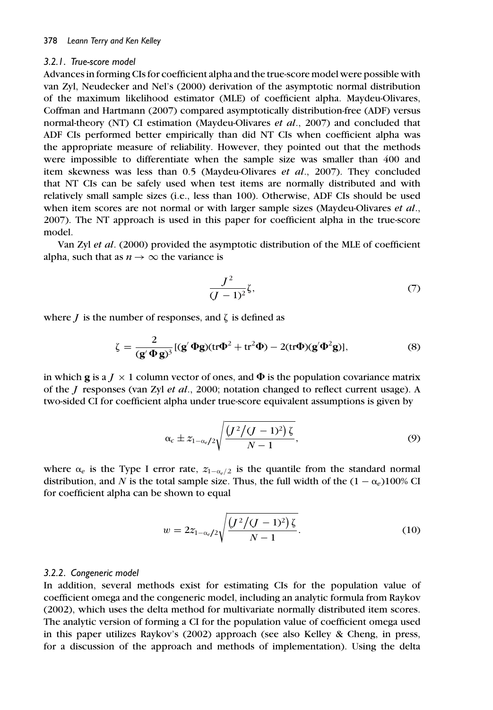#### *3.2.1*. *True-score model*

Advances in forming CIs for coefficient alpha and the true-score model were possible with van Zyl, Neudecker and Nel's (2000) derivation of the asymptotic normal distribution of the maximum likelihood estimator (MLE) of coefficient alpha. Maydeu-Olivares, Coffman and Hartmann (2007) compared asymptotically distribution-free (ADF) versus normal-theory (NT) CI estimation (Maydeu-Olivares *et al*., 2007) and concluded that ADF CIs performed better empirically than did NT CIs when coefficient alpha was the appropriate measure of reliability. However, they pointed out that the methods were impossible to differentiate when the sample size was smaller than 400 and item skewness was less than 0.5 (Maydeu-Olivares *et al*., 2007). They concluded that NT CIs can be safely used when test items are normally distributed and with relatively small sample sizes (i.e., less than 100). Otherwise, ADF CIs should be used when item scores are not normal or with larger sample sizes (Maydeu-Olivares *et al*., 2007). The NT approach is used in this paper for coefficient alpha in the true-score model.

Van Zyl *et al*. (2000) provided the asymptotic distribution of the MLE of coefficient alpha, such that as  $n \to \infty$  the variance is

$$
\frac{J^2}{(J-1)^2}\zeta,\tag{7}
$$

where  $J$  is the number of responses, and  $\zeta$  is defined as

$$
\zeta = \frac{2}{(\mathbf{g}'\,\mathbf{\Phi}\,\mathbf{g})^3} [(\mathbf{g}'\,\mathbf{\Phi}\mathbf{g})(\mathrm{tr}\mathbf{\Phi}^2 + \mathrm{tr}^2\mathbf{\Phi}) - 2(\mathrm{tr}\mathbf{\Phi})(\mathbf{g}'\mathbf{\Phi}^2\mathbf{g})],\tag{8}
$$

in which **g** is a  $J \times 1$  column vector of ones, and  $\Phi$  is the population covariance matrix of the *J* responses (van Zyl *et al*., 2000; notation changed to reflect current usage). A two-sided CI for coefficient alpha under true-score equivalent assumptions is given by

$$
\alpha_c \pm z_{1-\alpha_c/2} \sqrt{\frac{\left(J^2/(J-1)^2\right)\zeta}{N-1}},\tag{9}
$$

where  $\alpha_e$  is the Type I error rate,  $z_{1-\alpha_e/2}$  is the quantile from the standard normal distribution, and *N* is the total sample size. Thus, the full width of the  $(1 - \alpha_e)100\%$  CI for coefficient alpha can be shown to equal

$$
w = 2z_{1-\alpha_e/2} \sqrt{\frac{\left(J^2/(J-1)^2\right)\zeta}{N-1}}.
$$
\n(10)

#### *3.2.2*. *Congeneric model*

In addition, several methods exist for estimating CIs for the population value of coefficient omega and the congeneric model, including an analytic formula from Raykov (2002), which uses the delta method for multivariate normally distributed item scores. The analytic version of forming a CI for the population value of coefficient omega used in this paper utilizes Raykov's (2002) approach (see also Kelley & Cheng, in press, for a discussion of the approach and methods of implementation). Using the delta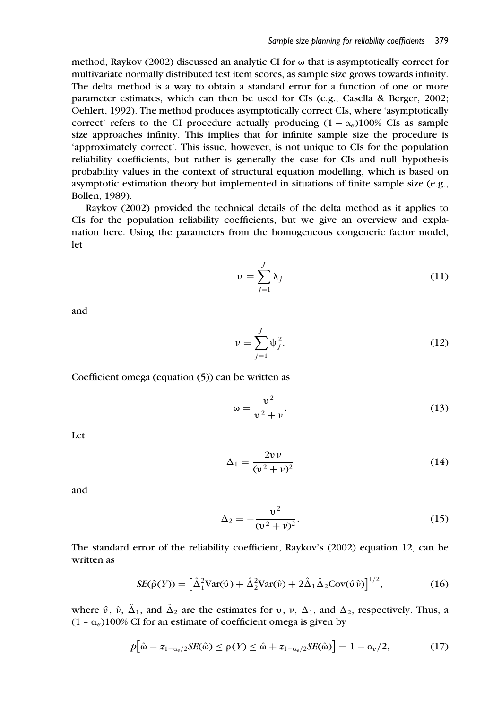method, Raykov (2002) discussed an analytic CI for  $\omega$  that is asymptotically correct for multivariate normally distributed test item scores, as sample size grows towards infinity. The delta method is a way to obtain a standard error for a function of one or more parameter estimates, which can then be used for CIs (e.g., Casella & Berger, 2002; Oehlert, 1992). The method produces asymptotically correct CIs, where 'asymptotically correct' refers to the CI procedure actually producing  $(1 - \alpha_e)100\%$  CIs as sample size approaches infinity. This implies that for infinite sample size the procedure is 'approximately correct'. This issue, however, is not unique to CIs for the population reliability coefficients, but rather is generally the case for CIs and null hypothesis probability values in the context of structural equation modelling, which is based on asymptotic estimation theory but implemented in situations of finite sample size (e.g., Bollen, 1989).

Raykov (2002) provided the technical details of the delta method as it applies to CIs for the population reliability coefficients, but we give an overview and explanation here. Using the parameters from the homogeneous congeneric factor model, let

$$
v = \sum_{j=1}^{J} \lambda_j
$$
 (11)

and

$$
\nu = \sum_{j=1}^{J} \psi_j^2.
$$
 (12)

Coefficient omega (equation (5)) can be written as

$$
\omega = \frac{v^2}{v^2 + v}.\tag{13}
$$

Let

$$
\Delta_1 = \frac{2v v}{(v^2 + v)^2} \tag{14}
$$

and

$$
\Delta_2 = -\frac{v^2}{(v^2 + v)^2}.
$$
\n(15)

The standard error of the reliability coefficient, Raykov's (2002) equation 12, can be written as

$$
SE(\hat{\rho}(Y)) = \left[\hat{\Delta}_1^2 \text{Var}(\hat{v}) + \hat{\Delta}_2^2 \text{Var}(\hat{v}) + 2\hat{\Delta}_1 \hat{\Delta}_2 \text{Cov}(\hat{v}\hat{v})\right]^{1/2},\tag{16}
$$

where  $\hat{v}$ ,  $\hat{v}$ ,  $\hat{\Delta}_1$ , and  $\hat{\Delta}_2$  are the estimates for  $v$ ,  $v$ ,  $\Delta_1$ , and  $\Delta_2$ , respectively. Thus, a  $(1 - \alpha_e)100\%$  CI for an estimate of coefficient omega is given by

$$
p\big[\hat{\omega} - z_{1-\alpha_e/2}SE(\hat{\omega}) \le \rho(Y) \le \hat{\omega} + z_{1-\alpha_e/2}SE(\hat{\omega})\big] = 1 - \alpha_e/2, \tag{17}
$$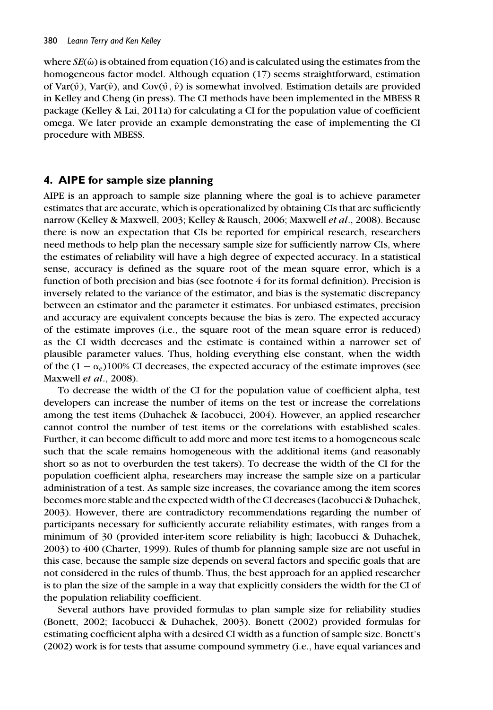where  $SE(\hat{\omega})$  is obtained from equation (16) and is calculated using the estimates from the homogeneous factor model. Although equation (17) seems straightforward, estimation of Var( $\hat{v}$ ), Var( $\hat{v}$ ), and Cov( $\hat{v}$ ,  $\hat{v}$ ) is somewhat involved. Estimation details are provided in Kelley and Cheng (in press). The CI methods have been implemented in the MBESS R package (Kelley & Lai, 2011a) for calculating a CI for the population value of coefficient omega. We later provide an example demonstrating the ease of implementing the CI procedure with MBESS.

# **4. AIPE for sample size planning**

AIPE is an approach to sample size planning where the goal is to achieve parameter estimates that are accurate, which is operationalized by obtaining CIs that are sufficiently narrow (Kelley & Maxwell, 2003; Kelley & Rausch, 2006; Maxwell *et al*., 2008). Because there is now an expectation that CIs be reported for empirical research, researchers need methods to help plan the necessary sample size for sufficiently narrow CIs, where the estimates of reliability will have a high degree of expected accuracy. In a statistical sense, accuracy is defined as the square root of the mean square error, which is a function of both precision and bias (see footnote 4 for its formal definition). Precision is inversely related to the variance of the estimator, and bias is the systematic discrepancy between an estimator and the parameter it estimates. For unbiased estimates, precision and accuracy are equivalent concepts because the bias is zero. The expected accuracy of the estimate improves (i.e., the square root of the mean square error is reduced) as the CI width decreases and the estimate is contained within a narrower set of plausible parameter values. Thus, holding everything else constant, when the width of the  $(1 - \alpha_e)100\%$  CI decreases, the expected accuracy of the estimate improves (see Maxwell *et al*., 2008).

To decrease the width of the CI for the population value of coefficient alpha, test developers can increase the number of items on the test or increase the correlations among the test items (Duhachek & Iacobucci, 2004). However, an applied researcher cannot control the number of test items or the correlations with established scales. Further, it can become difficult to add more and more test items to a homogeneous scale such that the scale remains homogeneous with the additional items (and reasonably short so as not to overburden the test takers). To decrease the width of the CI for the population coefficient alpha, researchers may increase the sample size on a particular administration of a test. As sample size increases, the covariance among the item scores becomes more stable and the expected width of the CI decreases (Iacobucci & Duhachek, 2003). However, there are contradictory recommendations regarding the number of participants necessary for sufficiently accurate reliability estimates, with ranges from a minimum of 30 (provided inter-item score reliability is high; Iacobucci & Duhachek, 2003) to 400 (Charter, 1999). Rules of thumb for planning sample size are not useful in this case, because the sample size depends on several factors and specific goals that are not considered in the rules of thumb. Thus, the best approach for an applied researcher is to plan the size of the sample in a way that explicitly considers the width for the CI of the population reliability coefficient.

Several authors have provided formulas to plan sample size for reliability studies (Bonett, 2002; Iacobucci & Duhachek, 2003). Bonett (2002) provided formulas for estimating coefficient alpha with a desired CI width as a function of sample size. Bonett's (2002) work is for tests that assume compound symmetry (i.e., have equal variances and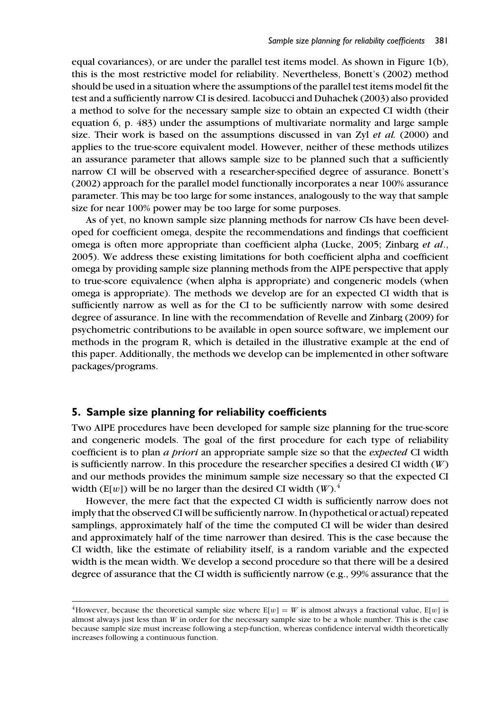equal covariances), or are under the parallel test items model. As shown in Figure 1(b), this is the most restrictive model for reliability. Nevertheless, Bonett's (2002) method should be used in a situation where the assumptions of the parallel test items model fit the test and a sufficiently narrow CI is desired. Iacobucci and Duhachek (2003) also provided a method to solve for the necessary sample size to obtain an expected CI width (their equation 6, p. 483) under the assumptions of multivariate normality and large sample size. Their work is based on the assumptions discussed in van Zyl *et al.* (2000) and applies to the true-score equivalent model. However, neither of these methods utilizes an assurance parameter that allows sample size to be planned such that a sufficiently narrow CI will be observed with a researcher-specified degree of assurance. Bonett's (2002) approach for the parallel model functionally incorporates a near 100% assurance parameter. This may be too large for some instances, analogously to the way that sample size for near 100% power may be too large for some purposes.

As of yet, no known sample size planning methods for narrow CIs have been developed for coefficient omega, despite the recommendations and findings that coefficient omega is often more appropriate than coefficient alpha (Lucke, 2005; Zinbarg *et al*., 2005). We address these existing limitations for both coefficient alpha and coefficient omega by providing sample size planning methods from the AIPE perspective that apply to true-score equivalence (when alpha is appropriate) and congeneric models (when omega is appropriate). The methods we develop are for an expected CI width that is sufficiently narrow as well as for the CI to be sufficiently narrow with some desired degree of assurance. In line with the recommendation of Revelle and Zinbarg (2009) for psychometric contributions to be available in open source software, we implement our methods in the program R, which is detailed in the illustrative example at the end of this paper. Additionally, the methods we develop can be implemented in other software packages/programs.

# **5. Sample size planning for reliability coefficients**

Two AIPE procedures have been developed for sample size planning for the true-score and congeneric models. The goal of the first procedure for each type of reliability coefficient is to plan *a priori* an appropriate sample size so that the *expected* CI width is sufficiently narrow. In this procedure the researcher specifies a desired CI width (*W*) and our methods provides the minimum sample size necessary so that the expected CI width ( $E[w]$ ) will be no larger than the desired CI width ( $W$ ).<sup>4</sup>

However, the mere fact that the expected CI width is sufficiently narrow does not imply that the observed CI will be sufficiently narrow. In (hypothetical or actual) repeated samplings, approximately half of the time the computed CI will be wider than desired and approximately half of the time narrower than desired. This is the case because the CI width, like the estimate of reliability itself, is a random variable and the expected width is the mean width. We develop a second procedure so that there will be a desired degree of assurance that the CI width is sufficiently narrow (e.g., 99% assurance that the

<sup>&</sup>lt;sup>4</sup>However, because the theoretical sample size where  $E[w] = W$  is almost always a fractional value,  $E[w]$  is almost always just less than *W* in order for the necessary sample size to be a whole number. This is the case because sample size must increase following a step-function, whereas confidence interval width theoretically increases following a continuous function.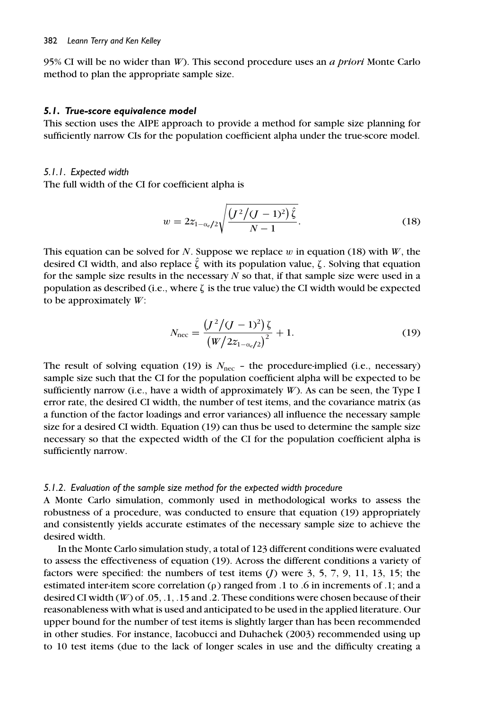95% CI will be no wider than *W*). This second procedure uses an *a priori* Monte Carlo method to plan the appropriate sample size.

#### *5.1***.** *True-score equivalence model*

This section uses the AIPE approach to provide a method for sample size planning for sufficiently narrow CIs for the population coefficient alpha under the true-score model.

#### *5.1.1*. *Expected width*

The full width of the CI for coefficient alpha is

$$
w = 2z_{1-\alpha_e/2} \sqrt{\frac{\left(J^2/(J-1)^2\right)\hat{\xi}}{N-1}}.
$$
\n(18)

This equation can be solved for *N*. Suppose we replace w in equation (18) with *W*, the desired CI width, and also replace  $\hat{\zeta}$  with its population value,  $\zeta$  . Solving that equation for the sample size results in the necessary *N* so that, if that sample size were used in a population as described (i.e., where  $\zeta$  is the true value) the CI width would be expected to be approximately *W*:

$$
N_{\text{nec}} = \frac{\left(\frac{J^2}{(J-1)^2}\right)\zeta}{\left(\frac{W}{2z_{1-\alpha_{e}/2}}\right)^2} + 1.
$$
 (19)

The result of solving equation (19) is  $N_{\text{nec}}$  – the procedure-implied (i.e., necessary) sample size such that the CI for the population coefficient alpha will be expected to be sufficiently narrow (i.e., have a width of approximately *W*). As can be seen, the Type I error rate, the desired CI width, the number of test items, and the covariance matrix (as a function of the factor loadings and error variances) all influence the necessary sample size for a desired CI width. Equation (19) can thus be used to determine the sample size necessary so that the expected width of the CI for the population coefficient alpha is sufficiently narrow.

#### *5.1.2*. *Evaluation of the sample size method for the expected width procedure*

A Monte Carlo simulation, commonly used in methodological works to assess the robustness of a procedure, was conducted to ensure that equation (19) appropriately and consistently yields accurate estimates of the necessary sample size to achieve the desired width.

In the Monte Carlo simulation study, a total of 123 different conditions were evaluated to assess the effectiveness of equation (19). Across the different conditions a variety of factors were specified: the numbers of test items (*J*) were 3, 5, 7, 9, 11, 13, 15; the estimated inter-item score correlation  $(\rho)$  ranged from .1 to .6 in increments of .1; and a desired CI width (*W*) of .05, .1, .15 and .2. These conditions were chosen because of their reasonableness with what is used and anticipated to be used in the applied literature. Our upper bound for the number of test items is slightly larger than has been recommended in other studies. For instance, Iacobucci and Duhachek (2003) recommended using up to 10 test items (due to the lack of longer scales in use and the difficulty creating a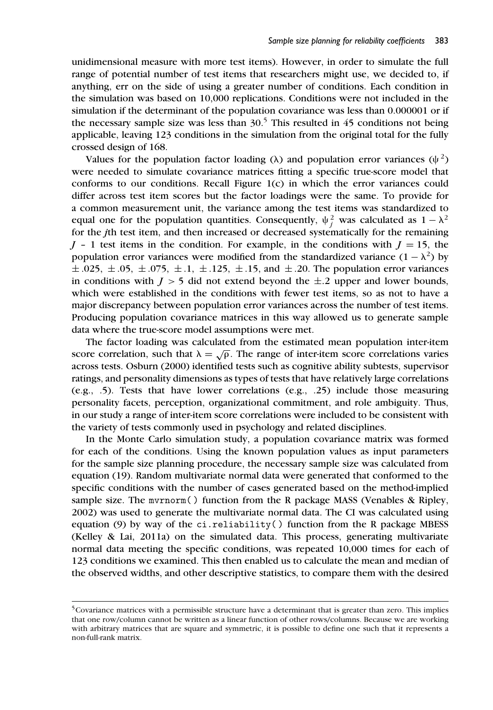unidimensional measure with more test items). However, in order to simulate the full range of potential number of test items that researchers might use, we decided to, if anything, err on the side of using a greater number of conditions. Each condition in the simulation was based on 10,000 replications. Conditions were not included in the simulation if the determinant of the population covariance was less than 0.000001 or if the necessary sample size was less than  $30<sup>5</sup>$  This resulted in 45 conditions not being applicable, leaving 123 conditions in the simulation from the original total for the fully crossed design of 168.

Values for the population factor loading ( $\lambda$ ) and population error variances ( $\psi^2$ ) were needed to simulate covariance matrices fitting a specific true-score model that conforms to our conditions. Recall Figure 1(c) in which the error variances could differ across test item scores but the factor loadings were the same. To provide for a common measurement unit, the variance among the test items was standardized to equal one for the population quantities. Consequently,  $\psi_j^2$  was calculated as  $1 - \lambda^2$ for the *j*th test item, and then increased or decreased systematically for the remaining  $J - 1$  test items in the condition. For example, in the conditions with  $J = 15$ , the population error variances were modified from the standardized variance  $(1 - \lambda^2)$  by  $\pm .025, \pm .05, \pm .075, \pm .1, \pm .125, \pm .15,$  and  $\pm .20$ . The population error variances in conditions with  $J > 5$  did not extend beyond the  $\pm$ .2 upper and lower bounds, which were established in the conditions with fewer test items, so as not to have a major discrepancy between population error variances across the number of test items. Producing population covariance matrices in this way allowed us to generate sample data where the true-score model assumptions were met.

The factor loading was calculated from the estimated mean population inter-item score correlation, such that  $\lambda = \sqrt{\rho}$ . The range of inter-item score correlations varies across tests. Osburn (2000) identified tests such as cognitive ability subtests, supervisor ratings, and personality dimensions as types of tests that have relatively large correlations (e.g., .5). Tests that have lower correlations (e.g., .25) include those measuring personality facets, perception, organizational commitment, and role ambiguity. Thus, in our study a range of inter-item score correlations were included to be consistent with the variety of tests commonly used in psychology and related disciplines.

In the Monte Carlo simulation study, a population covariance matrix was formed for each of the conditions. Using the known population values as input parameters for the sample size planning procedure, the necessary sample size was calculated from equation (19). Random multivariate normal data were generated that conformed to the specific conditions with the number of cases generated based on the method-implied sample size. The myrnorm() function from the R package MASS (Venables & Ripley, 2002) was used to generate the multivariate normal data. The CI was calculated using equation (9) by way of the ci.reliability() function from the R package MBESS (Kelley & Lai, 2011a) on the simulated data. This process, generating multivariate normal data meeting the specific conditions, was repeated 10,000 times for each of 123 conditions we examined. This then enabled us to calculate the mean and median of the observed widths, and other descriptive statistics, to compare them with the desired

<sup>5</sup>Covariance matrices with a permissible structure have a determinant that is greater than zero. This implies that one row/column cannot be written as a linear function of other rows/columns. Because we are working with arbitrary matrices that are square and symmetric, it is possible to define one such that it represents a non-full-rank matrix.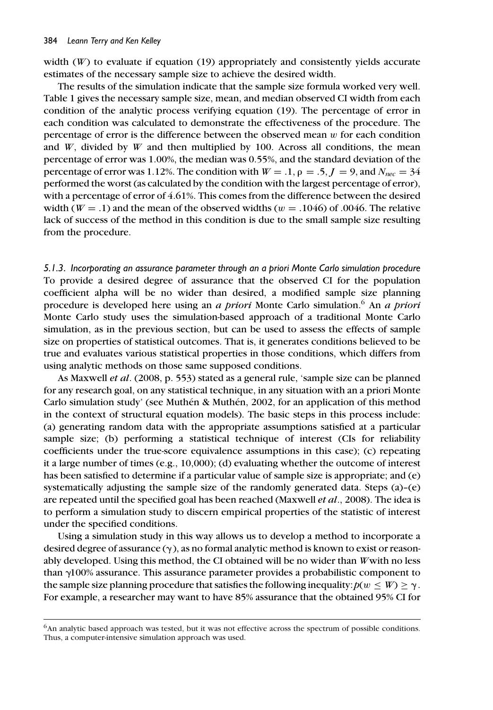width (*W*) to evaluate if equation (19) appropriately and consistently yields accurate estimates of the necessary sample size to achieve the desired width.

The results of the simulation indicate that the sample size formula worked very well. Table 1 gives the necessary sample size, mean, and median observed CI width from each condition of the analytic process verifying equation (19). The percentage of error in each condition was calculated to demonstrate the effectiveness of the procedure. The percentage of error is the difference between the observed mean  $w$  for each condition and *W*, divided by *W* and then multiplied by 100. Across all conditions, the mean percentage of error was 1.00%, the median was 0.55%, and the standard deviation of the percentage of error was 1.12%. The condition with  $W = .1$ ,  $\rho = .5$ ,  $J = 9$ , and  $N_{\text{nec}} = 34$ performed the worst (as calculated by the condition with the largest percentage of error), with a percentage of error of 4.61%. This comes from the difference between the desired width ( $W = .1$ ) and the mean of the observed widths ( $w = .1046$ ) of .0046. The relative lack of success of the method in this condition is due to the small sample size resulting from the procedure.

*5.1.3*. *Incorporating an assurance parameter through an a priori Monte Carlo simulation procedure* To provide a desired degree of assurance that the observed CI for the population coefficient alpha will be no wider than desired, a modified sample size planning procedure is developed here using an *a priori* Monte Carlo simulation.6 An *a priori* Monte Carlo study uses the simulation-based approach of a traditional Monte Carlo simulation, as in the previous section, but can be used to assess the effects of sample size on properties of statistical outcomes. That is, it generates conditions believed to be true and evaluates various statistical properties in those conditions, which differs from using analytic methods on those same supposed conditions.

As Maxwell *et al*. (2008, p. 553) stated as a general rule, 'sample size can be planned for any research goal, on any statistical technique, in any situation with an a priori Monte Carlo simulation study' (see Muthén & Muthén, 2002, for an application of this method in the context of structural equation models). The basic steps in this process include: (a) generating random data with the appropriate assumptions satisfied at a particular sample size; (b) performing a statistical technique of interest (CIs for reliability coefficients under the true-score equivalence assumptions in this case); (c) repeating it a large number of times (e.g., 10,000); (d) evaluating whether the outcome of interest has been satisfied to determine if a particular value of sample size is appropriate; and (e) systematically adjusting the sample size of the randomly generated data. Steps (a)–(e) are repeated until the specified goal has been reached (Maxwell *et al*., 2008). The idea is to perform a simulation study to discern empirical properties of the statistic of interest under the specified conditions.

Using a simulation study in this way allows us to develop a method to incorporate a desired degree of assurance  $(\gamma)$ , as no formal analytic method is known to exist or reasonably developed. Using this method, the CI obtained will be no wider than *W*with no less than  $\gamma$ 100% assurance. This assurance parameter provides a probabilistic component to the sample size planning procedure that satisfies the following inequality:  $p(w \leq W) \geq \gamma$ . For example, a researcher may want to have 85% assurance that the obtained 95% CI for

<sup>&</sup>lt;sup>6</sup>An analytic based approach was tested, but it was not effective across the spectrum of possible conditions. Thus, a computer-intensive simulation approach was used.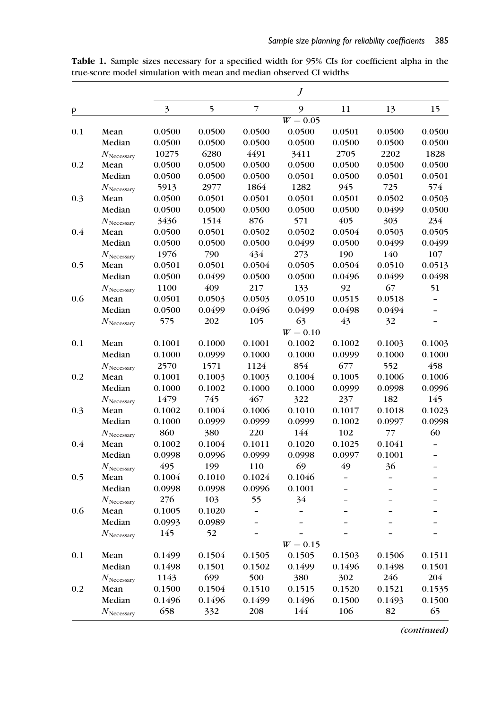|     |                                |        |        |        | J          |                   |        |        |
|-----|--------------------------------|--------|--------|--------|------------|-------------------|--------|--------|
| ρ   |                                | 3      | 5      | 7      | 9          | 11                | 13     | 15     |
|     |                                |        |        |        | $W = 0.05$ |                   |        |        |
| 0.1 | Mean                           | 0.0500 | 0.0500 | 0.0500 | 0.0500     | 0.0501            | 0.0500 | 0.0500 |
|     | Median                         | 0.0500 | 0.0500 | 0.0500 | 0.0500     | 0.0500            | 0.0500 | 0.0500 |
|     | $N_{\rm Necessary}$            | 10275  | 6280   | 4491   | 3411       | 2705              | 2202   | 1828   |
| 0.2 | Mean                           | 0.0500 | 0.0500 | 0.0500 | 0.0500     | 0.0500            | 0.0500 | 0.0500 |
|     | Median                         | 0.0500 | 0.0500 | 0.0500 | 0.0501     | 0.0500            | 0.0501 | 0.0501 |
|     | $N_{\text{Necessary}}$         | 5913   | 2977   | 1864   | 1282       | 945               | 725    | 574    |
| 0.3 | Mean                           | 0.0500 | 0.0501 | 0.0501 | 0.0501     | 0.0501            | 0.0502 | 0.0503 |
|     | Median                         | 0.0500 | 0.0500 | 0.0500 | 0.0500     | 0.0500            | 0.0499 | 0.0500 |
|     | $N_{\text{Necessary}}$         | 3436   | 1514   | 876    | 571        | 405               | 303    | 234    |
| 0.4 | Mean                           | 0.0500 | 0.0501 | 0.0502 | 0.0502     | 0.0504            | 0.0503 | 0.0505 |
|     | Median                         | 0.0500 | 0.0500 | 0.0500 | 0.0499     | 0.0500            | 0.0499 | 0.0499 |
|     | $N_{\text{Necessary}}$         | 1976   | 790    | 434    | 273        | 190               | 140    | 107    |
| 0.5 | Mean                           | 0.0501 | 0.0501 | 0.0504 | 0.0505     | 0.0504            | 0.0510 | 0.0513 |
|     | Median                         | 0.0500 | 0.0499 | 0.0500 | 0.0500     | 0.0496            | 0.0499 | 0.0498 |
|     | $N_{\text{Necessary}}$         | 1100   | 409    | 217    | 133        | 92                | 67     | 51     |
| 0.6 | Mean                           | 0.0501 | 0.0503 | 0.0503 | 0.0510     | 0.0515            | 0.0518 |        |
|     | Median                         | 0.0500 | 0.0499 | 0.0496 | 0.0499     | 0.0498            | 0.0494 |        |
|     | $N_{\rm Necessary}$            | 575    | 202    | 105    | 63         | 43                | 32     |        |
|     |                                |        |        |        | $W = 0.10$ |                   |        |        |
| 0.1 | Mean                           | 0.1001 | 0.1000 | 0.1001 | 0.1002     | 0.1002            | 0.1003 | 0.1003 |
|     | Median                         | 0.1000 | 0.0999 | 0.1000 | 0.1000     | 0.0999            | 0.1000 | 0.1000 |
|     |                                | 2570   | 1571   | 1124   | 854        | 677               | 552    | 458    |
|     | $N_{\text{Necessary}}$<br>Mean | 0.1001 | 0.1003 | 0.1003 | 0.1004     | 0.1005            | 0.1006 | 0.1006 |
|     | Median                         | 0.1000 | 0.1002 | 0.1000 | 0.1000     | 0.0999            | 0.0998 | 0.0996 |
| 0.2 |                                | 1479   | 745    | 467    | 322        | 237               | 182    | 145    |
|     | $N_{\text{Necessary}}$         |        |        |        |            |                   |        |        |
| 0.3 | Mean                           | 0.1002 | 0.1004 | 0.1006 | 0.1010     | 0.1017            | 0.1018 | 0.1023 |
|     | Median                         | 0.1000 | 0.0999 | 0.0999 | 0.0999     | 0.1002            | 0.0997 | 0.0998 |
|     | $N_{\text{Necessary}}$         | 860    | 380    | 220    | 144        | 102               | 77     | 60     |
| 0.4 | Mean                           | 0.1002 | 0.1004 | 0.1011 | 0.1020     | 0.1025            | 0.1041 |        |
|     | Median                         | 0.0998 | 0.0996 | 0.0999 | 0.0998     | 0.0997            | 0.1001 |        |
|     | $N_{\text{Necessary}}$         | 495    | 199    | 110    | 69         | 49                | 36     |        |
| 0.5 | Mean                           | 0.1004 | 0.1010 | 0.1024 | 0.1046     | $\qquad \qquad -$ |        |        |
|     | Median                         | 0.0998 | 0.0998 | 0.0996 | 0.1001     |                   |        |        |
|     | $N_{\text{Necessary}}$         | 276    | 103    | 55     | 34         |                   |        |        |
| 0.6 | Mean                           | 0.1005 | 0.1020 |        |            |                   |        |        |
|     | Median                         | 0.0993 | 0.0989 |        |            |                   |        |        |
|     | $N_{\rm Necessary}$            | 145    | 52     |        |            |                   |        |        |
|     |                                |        |        |        | $W = 0.15$ |                   |        |        |
| 0.1 | Mean                           | 0.1499 | 0.1504 | 0.1505 | 0.1505     | 0.1503            | 0.1506 | 0.1511 |
|     | Median                         | 0.1498 | 0.1501 | 0.1502 | 0.1499     | 0.1496            | 0.1498 | 0.1501 |
|     | $N_{\text{Necessary}}$         | 1143   | 699    | 500    | 380        | 302               | 246    | 204    |
| 0.2 | Mean                           | 0.1500 | 0.1504 | 0.1510 | 0.1515     | 0.1520            | 0.1521 | 0.1535 |
|     | Median                         | 0.1496 | 0.1496 | 0.1499 | 0.1496     | 0.1500            | 0.1493 | 0.1500 |
|     | $N_{\text{Necessary}}$         | 658    | 332    | 208    | 144        | 106               | 82     | 65     |

**Table 1.** Sample sizes necessary for a specified width for 95% CIs for coefficient alpha in the true-score model simulation with mean and median observed CI widths

*(continued)*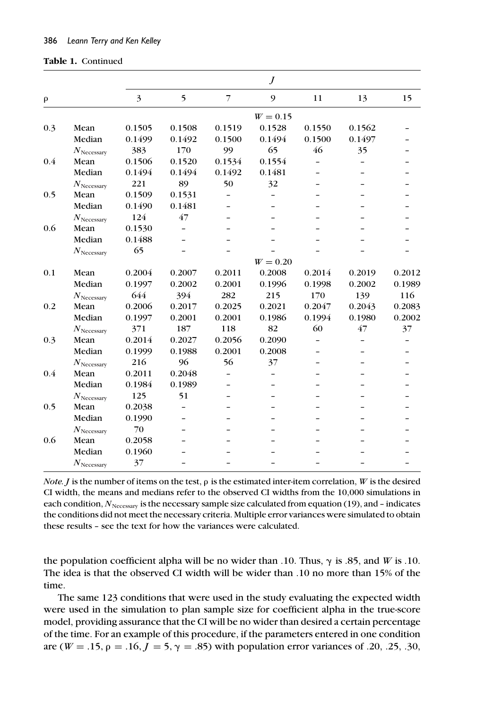|        |                        |        |        |        | $\overline{J}$ |        |        |        |
|--------|------------------------|--------|--------|--------|----------------|--------|--------|--------|
| $\rho$ |                        | 3      | 5      | 7      | 9              | 11     | 13     | 15     |
|        |                        |        |        |        | $W = 0.15$     |        |        |        |
| 0.3    | Mean                   | 0.1505 | 0.1508 | 0.1519 | 0.1528         | 0.1550 | 0.1562 |        |
|        | Median                 | 0.1499 | 0.1492 | 0.1500 | 0.1494         | 0.1500 | 0.1497 |        |
|        | $N_{\text{Necessary}}$ | 383    | 170    | 99     | 65             | 46     | 35     |        |
| 0.4    | Mean                   | 0.1506 | 0.1520 | 0.1534 | 0.1554         |        |        |        |
|        | Median                 | 0.1494 | 0.1494 | 0.1492 | 0.1481         |        |        |        |
|        | $N_{\rm Necessary}$    | 221    | 89     | 50     | 32             |        |        |        |
| 0.5    | Mean                   | 0.1509 | 0.1531 |        |                |        |        |        |
|        | Median                 | 0.1490 | 0.1481 |        |                |        |        |        |
|        | $N_{\rm Necessary}$    | 124    | 47     |        |                |        |        |        |
| 0.6    | Mean                   | 0.1530 |        |        |                |        |        |        |
|        | Median                 | 0.1488 |        |        |                |        |        |        |
|        | $N_{\text{Necessary}}$ | 65     |        |        |                |        |        |        |
|        |                        |        |        |        | $W = 0.20$     |        |        |        |
| 0.1    | Mean                   | 0.2004 | 0.2007 | 0.2011 | 0.2008         | 0.2014 | 0.2019 | 0.2012 |
|        | Median                 | 0.1997 | 0.2002 | 0.2001 | 0.1996         | 0.1998 | 0.2002 | 0.1989 |
|        | $N_{\text{Necessary}}$ | 644    | 394    | 282    | 215            | 170    | 139    | 116    |
| 0.2    | Mean                   | 0.2006 | 0.2017 | 0.2025 | 0.2021         | 0.2047 | 0.2043 | 0.2083 |
|        | Median                 | 0.1997 | 0.2001 | 0.2001 | 0.1986         | 0.1994 | 0.1980 | 0.2002 |
|        | $N_{\text{Necessary}}$ | 371    | 187    | 118    | 82             | 60     | 47     | 37     |
| 0.3    | Mean                   | 0.2014 | 0.2027 | 0.2056 | 0.2090         |        |        |        |
|        | Median                 | 0.1999 | 0.1988 | 0.2001 | 0.2008         |        |        |        |
|        | $N_{\text{Necessary}}$ | 216    | 96     | 56     | 37             |        |        |        |
| 0.4    | Mean                   | 0.2011 | 0.2048 |        |                |        |        |        |
|        | Median                 | 0.1984 | 0.1989 |        |                |        |        |        |
|        | $N_{\text{Necessary}}$ | 125    | 51     |        |                |        |        |        |
| 0.5    | Mean                   | 0.2038 |        |        |                |        |        |        |
|        | Median                 | 0.1990 |        |        |                |        |        |        |
|        | $N_{\text{Necessary}}$ | 70     |        |        |                |        |        |        |
| 0.6    | Mean                   | 0.2058 |        |        |                |        |        |        |
|        | Median                 | 0.1960 |        |        |                |        |        |        |
|        | $N_{\text{Necessary}}$ | 37     |        |        |                |        |        |        |

*Note. J* is the number of items on the test,  $\rho$  is the estimated inter-item correlation, *W* is the desired CI width, the means and medians refer to the observed CI widths from the 10,000 simulations in each condition,  $N_{\text{Necessary}}$  is the necessary sample size calculated from equation (19), and – indicates the conditions did not meet the necessary criteria. Multiple error variances were simulated to obtain these results – see the text for how the variances were calculated.

the population coefficient alpha will be no wider than .10. Thus,  $\gamma$  is .85, and *W* is .10. The idea is that the observed CI width will be wider than .10 no more than 15% of the time.

The same 123 conditions that were used in the study evaluating the expected width were used in the simulation to plan sample size for coefficient alpha in the true-score model, providing assurance that the CI will be no wider than desired a certain percentage of the time. For an example of this procedure, if the parameters entered in one condition are  $(W = .15, \rho = .16, J = 5, \gamma = .85)$  with population error variances of .20, .25, .30,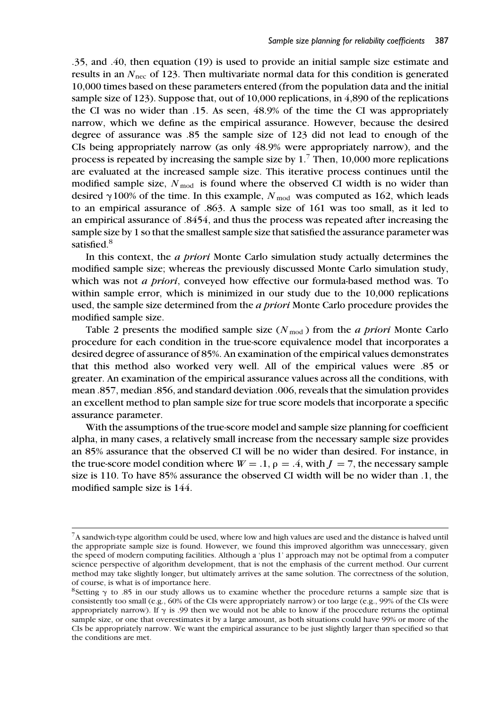.35, and .40, then equation (19) is used to provide an initial sample size estimate and results in an *N*nec of 123. Then multivariate normal data for this condition is generated 10,000 times based on these parameters entered (from the population data and the initial sample size of 123). Suppose that, out of 10,000 replications, in 4,890 of the replications the CI was no wider than .15. As seen, 48.9% of the time the CI was appropriately narrow, which we define as the empirical assurance. However, because the desired degree of assurance was .85 the sample size of 123 did not lead to enough of the CIs being appropriately narrow (as only 48.9% were appropriately narrow), and the process is repeated by increasing the sample size by  $1<sup>7</sup>$  Then, 10,000 more replications are evaluated at the increased sample size. This iterative process continues until the modified sample size,  $N_{\text{mod}}$  is found where the observed CI width is no wider than desired  $\gamma$  100% of the time. In this example,  $N_{\text{mod}}$  was computed as 162, which leads to an empirical assurance of .863. A sample size of 161 was too small, as it led to an empirical assurance of .8454, and thus the process was repeated after increasing the sample size by 1 so that the smallest sample size that satisfied the assurance parameter was satisfied. $8$ 

In this context, the *a priori* Monte Carlo simulation study actually determines the modified sample size; whereas the previously discussed Monte Carlo simulation study, which was not *a priori*, conveyed how effective our formula-based method was. To within sample error, which is minimized in our study due to the 10,000 replications used, the sample size determined from the *a priori* Monte Carlo procedure provides the modified sample size.

Table 2 presents the modified sample size  $(N_{\text{mod}})$  from the *a priori* Monte Carlo procedure for each condition in the true-score equivalence model that incorporates a desired degree of assurance of 85%. An examination of the empirical values demonstrates that this method also worked very well. All of the empirical values were .85 or greater. An examination of the empirical assurance values across all the conditions, with mean .857, median .856, and standard deviation .006, reveals that the simulation provides an excellent method to plan sample size for true score models that incorporate a specific assurance parameter.

With the assumptions of the true-score model and sample size planning for coefficient alpha, in many cases, a relatively small increase from the necessary sample size provides an 85% assurance that the observed CI will be no wider than desired. For instance, in the true-score model condition where  $W = .1$ ,  $\rho = .4$ , with  $J = 7$ , the necessary sample size is 110. To have 85% assurance the observed CI width will be no wider than .1, the modified sample size is 144.

<sup>&</sup>lt;sup>7</sup>A sandwich-type algorithm could be used, where low and high values are used and the distance is halved until the appropriate sample size is found. However, we found this improved algorithm was unnecessary, given the speed of modern computing facilities. Although a 'plus 1' approach may not be optimal from a computer science perspective of algorithm development, that is not the emphasis of the current method. Our current method may take slightly longer, but ultimately arrives at the same solution. The correctness of the solution, of course, is what is of importance here.

<sup>&</sup>lt;sup>8</sup>Setting  $\gamma$  to .85 in our study allows us to examine whether the procedure returns a sample size that is consistently too small (e.g., 60% of the CIs were appropriately narrow) or too large (e.g., 99% of the CIs were appropriately narrow). If  $\gamma$  is .99 then we would not be able to know if the procedure returns the optimal sample size, or one that overestimates it by a large amount, as both situations could have 99% or more of the CIs be appropriately narrow. We want the empirical assurance to be just slightly larger than specified so that the conditions are met.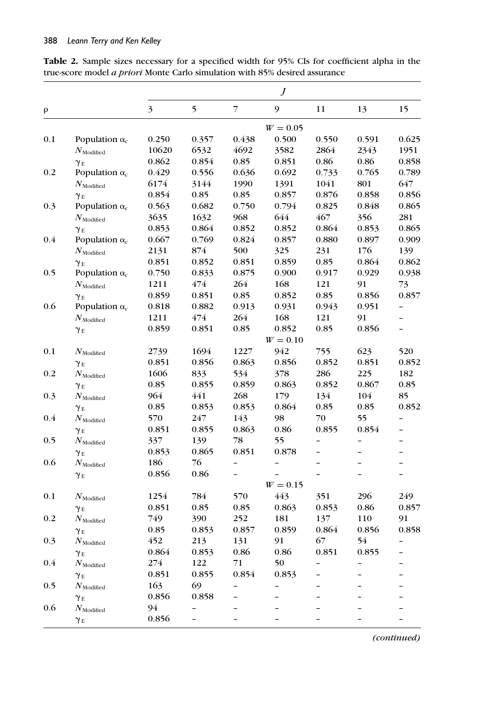|         |                       |                         |       |       | $\overline{J}$ |                          |                   |                          |  |
|---------|-----------------------|-------------------------|-------|-------|----------------|--------------------------|-------------------|--------------------------|--|
| ρ       |                       | $\overline{\mathbf{3}}$ | 5     | 7     | 9              | 11                       | 13                | 15                       |  |
|         |                       |                         |       |       | $W = 0.05$     |                          |                   |                          |  |
| 0.1     | Population $\alpha_c$ | 0.250                   | 0.357 | 0.438 | 0.500          | 0.550                    | 0.591             | 0.625                    |  |
|         | $N_{\rm Modified}$    | 10620                   | 6532  | 4692  | 3582           | 2864                     | 2343              | 1951                     |  |
|         | $\gamma_E$            | 0.862                   | 0.854 | 0.85  | 0.851          | 0.86                     | 0.86              | 0.858                    |  |
| 0.2     | Population $\alpha_c$ | 0.429                   | 0.556 | 0.636 | 0.692          | 0.733                    | 0.765             | 0.789                    |  |
|         | $N_{\rm Modified}$    | 6174                    | 3144  | 1990  | 1391           | 1041                     | 801               | 647                      |  |
|         | $\gamma_E$            | 0.854                   | 0.85  | 0.85  | 0.857          | 0.876                    | 0.858             | 0.856                    |  |
| 0.3     | Population $\alpha_c$ | 0.563                   | 0.682 | 0.750 | 0.794          | 0.825                    | 0.848             | 0.865                    |  |
|         | $N_{\text{Modified}}$ | 3635                    | 1632  | 968   | 644            | 467                      | 356               | 281                      |  |
|         | $\gamma_E$            | 0.853                   | 0.864 | 0.852 | 0.852          | 0.864                    | 0.853             | 0.865                    |  |
| $0.4\,$ | Population $\alpha_c$ | 0.667                   | 0.769 | 0.824 | 0.857          | 0.880                    | 0.897             | 0.909                    |  |
|         | $N_{\rm Modified}$    | 2131                    | 874   | 500   | 325            | 231                      | 176               | 139                      |  |
|         | $\gamma_E$            | 0.851                   | 0.852 | 0.851 | 0.859          | 0.85                     | 0.864             | 0.862                    |  |
| 0.5     | Population $\alpha_c$ | 0.750                   | 0.833 | 0.875 | 0.900          | 0.917                    | 0.929             | 0.938                    |  |
|         | $N_{\text{Modified}}$ | 1211                    | 474   | 264   | 168            | 121                      | 91                | 73                       |  |
|         | $\gamma_E$            | 0.859                   | 0.851 | 0.85  | 0.852          | 0.85                     | 0.856             | 0.857                    |  |
| 0.6     | Population $\alpha_c$ | 0.818                   | 0.882 | 0.913 | 0.931          | 0.943                    | 0.951             | $\overline{\phantom{0}}$ |  |
|         | $N_{\text{Modified}}$ | 1211                    | 474   | 264   | 168            | 121                      | 91                |                          |  |
|         | $\gamma_E$            | 0.859                   | 0.851 | 0.85  | 0.852          | 0.85                     | 0.856             | $\qquad \qquad -$        |  |
|         |                       |                         |       |       | $W = 0.10$     |                          |                   |                          |  |
| 0.1     | $N_{\rm Modified}$    | 2739                    | 1694  | 1227  | 942            | 755                      | 623               | 520                      |  |
|         | $\gamma_E$            | 0.851                   | 0.856 | 0.863 | 0.856          | 0.852                    | 0.851             | 0.852                    |  |
| 0.2     | $N_{\rm Modified}$    | 1606                    | 833   | 534   | 378            | 286                      | 225               | 182                      |  |
|         | $\gamma_E$            | 0.85                    | 0.855 | 0.859 | 0.863          | 0.852                    | 0.867             | 0.85                     |  |
| 0.3     | $N_{\rm Modified}$    | 964                     | 441   | 268   | 179            | 134                      | 104               | 85                       |  |
|         | $\gamma_E$            | 0.85                    | 0.853 | 0.853 | 0.864          | 0.85                     | 0.85              | 0.852                    |  |
| 0.4     | $N_{\text{Modified}}$ | 570                     | 247   | 143   | 98             | 70                       | 55                |                          |  |
|         | $\gamma_E$            | 0.851                   | 0.855 | 0.863 | 0.86           | 0.855                    | 0.854             |                          |  |
| 0.5     | $N_{\rm Modified}$    | 337                     | 139   | 78    | 55             | $\overline{\phantom{0}}$ | $\qquad \qquad -$ |                          |  |
|         | $\gamma_E$            | 0.853                   | 0.865 | 0.851 | 0.878          | $\overline{\phantom{0}}$ |                   |                          |  |
| 0.6     | $N_{\text{Modified}}$ | 186                     | 76    | -     |                | $\overline{\phantom{0}}$ |                   |                          |  |
|         | $\gamma_E$            | 0.856                   | 0.86  |       |                |                          |                   | $\overline{\phantom{0}}$ |  |
|         |                       | $W = 0.15$              |       |       |                |                          |                   |                          |  |
| 0.1     | $N_{\rm Modified}$    | 1254                    | 784   | 570   | 443            | 351                      | 296               | 249                      |  |
|         | $\gamma_E$            | 0.851                   | 0.85  | 0.85  | 0.863          | 0.853                    | 0.86              | 0.857                    |  |
| 0.2     | $N_{\rm Modified}$    | 749                     | 390   | 252   | 181            | 137                      | 110               | 91                       |  |
|         | $\gamma_E$            | 0.85                    | 0.853 | 0.857 | 0.859          | 0.864                    | 0.856             | 0.858                    |  |
| 0.3     | $N_{\rm Modified}$    | 452                     | 213   | 131   | 91             | 67                       | 54                |                          |  |
|         | $\gamma_E$            | 0.864                   | 0.853 | 0.86  | 0.86           | 0.851                    | 0.855             |                          |  |
| $0.4\,$ | $N_{\rm Modified}$    | 274                     | 122   | 71    | 50             |                          |                   |                          |  |
|         | $\gamma_E$            | 0.851                   | 0.855 | 0.854 | 0.853          |                          |                   |                          |  |
| 0.5     | $N_{\rm Modified}$    | 163                     | 69    |       |                |                          |                   |                          |  |
|         | $\gamma_E$            | 0.856                   | 0.858 |       |                |                          |                   |                          |  |
| 0.6     | $N_{\text{Modified}}$ | 94                      |       |       |                |                          |                   |                          |  |
|         | $\gamma_E$            | 0.856                   |       |       |                |                          |                   |                          |  |
|         |                       |                         |       |       |                |                          |                   |                          |  |

**Table 2.** Sample sizes necessary for a specified width for 95% CIs for coefficient alpha in the true-score model *a priori* Monte Carlo simulation with 85% desired assurance

*(continued)*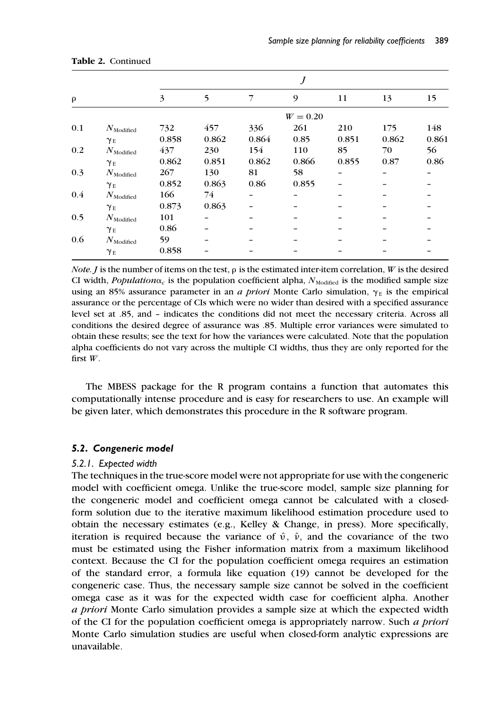|        |                       | J     |       |                   |            |       |       |       |  |  |  |
|--------|-----------------------|-------|-------|-------------------|------------|-------|-------|-------|--|--|--|
| $\rho$ |                       | 3     | 5     | 7                 | 9          | 11    | 13    | 15    |  |  |  |
|        |                       |       |       |                   | $W = 0.20$ |       |       |       |  |  |  |
| 0.1    | $N_{\text{Modified}}$ | 732   | 457   | 336               | 261        | 210   | 175   | 148   |  |  |  |
|        | $\gamma_E$            | 0.858 | 0.862 | 0.864             | 0.85       | 0.851 | 0.862 | 0.861 |  |  |  |
| 0.2    | $N_{\rm Modified}$    | 437   | 230   | 154               | 110        | 85    | 70    | 56    |  |  |  |
|        | $\gamma_E$            | 0.862 | 0.851 | 0.862             | 0.866      | 0.855 | 0.87  | 0.86  |  |  |  |
| 0.3    | $N_{\rm Modified}$    | 267   | 130   | 81                | 58         |       |       |       |  |  |  |
|        | $\gamma_E$            | 0.852 | 0.863 | 0.86              | 0.855      |       |       |       |  |  |  |
| 0.4    | $N_{\rm Modified}$    | 166   | 74    | $\qquad \qquad -$ |            |       |       |       |  |  |  |
|        | $\gamma_E$            | 0.873 | 0.863 |                   |            |       |       |       |  |  |  |
| 0.5    | $N_{\text{Modified}}$ | 101   |       |                   |            |       |       |       |  |  |  |
|        | $\gamma_E$            | 0.86  |       |                   |            |       |       |       |  |  |  |
| 0.6    | $N_{\rm Modified}$    | 59    |       |                   |            |       |       |       |  |  |  |
|        | $\gamma_E$            | 0.858 |       |                   |            |       |       |       |  |  |  |

### **Table 2.** Continued

*Note. J* is the number of items on the test,  $\rho$  is the estimated inter-item correlation, *W* is the desired CI width, *Population* $\alpha_c$  is the population coefficient alpha,  $N_{\text{Modified}}$  is the modified sample size using an 85% assurance parameter in an *a priori* Monte Carlo simulation,  $\gamma_E$  is the empirical assurance or the percentage of CIs which were no wider than desired with a specified assurance level set at .85, and – indicates the conditions did not meet the necessary criteria. Across all conditions the desired degree of assurance was .85. Multiple error variances were simulated to obtain these results; see the text for how the variances were calculated. Note that the population alpha coefficients do not vary across the multiple CI widths, thus they are only reported for the first *W*.

The MBESS package for the R program contains a function that automates this computationally intense procedure and is easy for researchers to use. An example will be given later, which demonstrates this procedure in the R software program.

## *5.2***.** *Congeneric model*

## *5.2.1*. *Expected width*

The techniques in the true-score model were not appropriate for use with the congeneric model with coefficient omega. Unlike the true-score model, sample size planning for the congeneric model and coefficient omega cannot be calculated with a closedform solution due to the iterative maximum likelihood estimation procedure used to obtain the necessary estimates (e.g., Kelley & Change, in press). More specifically, iteration is required because the variance of  $\hat{v}$ ,  $\hat{v}$ , and the covariance of the two must be estimated using the Fisher information matrix from a maximum likelihood context. Because the CI for the population coefficient omega requires an estimation of the standard error, a formula like equation (19) cannot be developed for the congeneric case. Thus, the necessary sample size cannot be solved in the coefficient omega case as it was for the expected width case for coefficient alpha. Another *a priori* Monte Carlo simulation provides a sample size at which the expected width of the CI for the population coefficient omega is appropriately narrow. Such *a priori* Monte Carlo simulation studies are useful when closed-form analytic expressions are unavailable.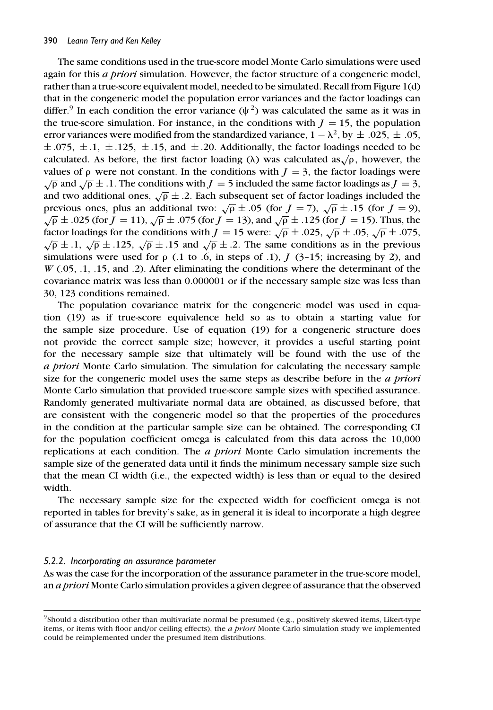The same conditions used in the true-score model Monte Carlo simulations were used again for this *a priori* simulation. However, the factor structure of a congeneric model, rather than a true-score equivalent model, needed to be simulated. Recall from Figure 1(d) that in the congeneric model the population error variances and the factor loadings can differ.<sup>9</sup> In each condition the error variance  $(\psi^2)$  was calculated the same as it was in the true-score simulation. For instance, in the conditions with  $J = 15$ , the population error variances were modified from the standardized variance,  $1 - \lambda^2$ , by  $\pm .025$ ,  $\pm .05$ ,  $\pm .075, \pm .1, \pm .125, \pm .15,$  and  $\pm .20$ . Additionally, the factor loadings needed to be calculated. As before, the first factor loading ( $\lambda$ ) was calculated as  $\sqrt{\rho}$ , however, the values of  $\rho$  were not constant. In the conditions with  $J = 3$ , the factor loadings were  $\sqrt{\rho}$  and  $\sqrt{\rho} \pm .1$ . The conditions with *J* = 5 included the same factor loadings as *J* = 3, and two additional ones,  $\sqrt{\rho} \pm .2$ . Each subsequent set of factor loadings included the previous ones, plus an additional two:  $\sqrt{\rho} \pm .05$  (for *J* = 7),  $\sqrt{\rho} \pm .15$  (for *J* = 9),  $\sqrt{\rho}$  ± .025 (for *J* = 11),  $\sqrt{\rho}$  ± .075 (for *J* = 13), and  $\sqrt{\rho}$  ± .125 (for *J* = 15). Thus, the factor loadings for the conditions with  $J = 15$  were:  $\sqrt{\rho} \pm .025$ ,  $\sqrt{\rho} \pm .05$ ,  $\sqrt{\rho} \pm .075$ ,  $\sqrt{\rho} \pm .1$ ,  $\sqrt{\rho} \pm .125$ ,  $\sqrt{\rho} \pm .15$  and  $\sqrt{\rho} \pm .2$ . The same conditions as in the previous simulations were used for  $\rho$  (.1 to .6, in steps of .1), *J* (3-15; increasing by 2), and *W* (.05, .1, .15, and .2). After eliminating the conditions where the determinant of the covariance matrix was less than 0.000001 or if the necessary sample size was less than 30, 123 conditions remained.

The population covariance matrix for the congeneric model was used in equation (19) as if true-score equivalence held so as to obtain a starting value for the sample size procedure. Use of equation (19) for a congeneric structure does not provide the correct sample size; however, it provides a useful starting point for the necessary sample size that ultimately will be found with the use of the *a priori* Monte Carlo simulation. The simulation for calculating the necessary sample size for the congeneric model uses the same steps as describe before in the *a priori* Monte Carlo simulation that provided true-score sample sizes with specified assurance. Randomly generated multivariate normal data are obtained, as discussed before, that are consistent with the congeneric model so that the properties of the procedures in the condition at the particular sample size can be obtained. The corresponding CI for the population coefficient omega is calculated from this data across the 10,000 replications at each condition. The *a priori* Monte Carlo simulation increments the sample size of the generated data until it finds the minimum necessary sample size such that the mean CI width (i.e., the expected width) is less than or equal to the desired width.

The necessary sample size for the expected width for coefficient omega is not reported in tables for brevity's sake, as in general it is ideal to incorporate a high degree of assurance that the CI will be sufficiently narrow.

#### *5.2.2*. *Incorporating an assurance parameter*

As was the case for the incorporation of the assurance parameter in the true-score model, an *a priori* Monte Carlo simulation provides a given degree of assurance that the observed

<sup>&</sup>lt;sup>9</sup>Should a distribution other than multivariate normal be presumed (e.g., positively skewed items, Likert-type items, or items with floor and/or ceiling effects), the *a priori* Monte Carlo simulation study we implemented could be reimplemented under the presumed item distributions.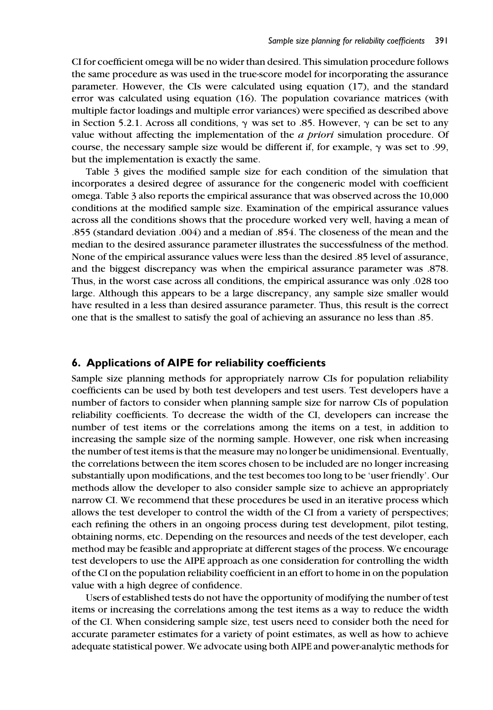CI for coefficient omega will be no wider than desired. This simulation procedure follows the same procedure as was used in the true-score model for incorporating the assurance parameter. However, the CIs were calculated using equation (17), and the standard error was calculated using equation (16). The population covariance matrices (with multiple factor loadings and multiple error variances) were specified as described above in Section 5.2.1. Across all conditions,  $\gamma$  was set to .85. However,  $\gamma$  can be set to any value without affecting the implementation of the *a priori* simulation procedure. Of course, the necessary sample size would be different if, for example,  $\gamma$  was set to .99, but the implementation is exactly the same.

Table 3 gives the modified sample size for each condition of the simulation that incorporates a desired degree of assurance for the congeneric model with coefficient omega. Table 3 also reports the empirical assurance that was observed across the 10,000 conditions at the modified sample size. Examination of the empirical assurance values across all the conditions shows that the procedure worked very well, having a mean of .855 (standard deviation .004) and a median of .854. The closeness of the mean and the median to the desired assurance parameter illustrates the successfulness of the method. None of the empirical assurance values were less than the desired .85 level of assurance, and the biggest discrepancy was when the empirical assurance parameter was .878. Thus, in the worst case across all conditions, the empirical assurance was only .028 too large. Although this appears to be a large discrepancy, any sample size smaller would have resulted in a less than desired assurance parameter. Thus, this result is the correct one that is the smallest to satisfy the goal of achieving an assurance no less than .85.

## **6. Applications of AIPE for reliability coefficients**

Sample size planning methods for appropriately narrow CIs for population reliability coefficients can be used by both test developers and test users. Test developers have a number of factors to consider when planning sample size for narrow CIs of population reliability coefficients. To decrease the width of the CI, developers can increase the number of test items or the correlations among the items on a test, in addition to increasing the sample size of the norming sample. However, one risk when increasing the number of test items is that the measure may no longer be unidimensional. Eventually, the correlations between the item scores chosen to be included are no longer increasing substantially upon modifications, and the test becomes too long to be 'user friendly'. Our methods allow the developer to also consider sample size to achieve an appropriately narrow CI. We recommend that these procedures be used in an iterative process which allows the test developer to control the width of the CI from a variety of perspectives; each refining the others in an ongoing process during test development, pilot testing, obtaining norms, etc. Depending on the resources and needs of the test developer, each method may be feasible and appropriate at different stages of the process. We encourage test developers to use the AIPE approach as one consideration for controlling the width of the CI on the population reliability coefficient in an effort to home in on the population value with a high degree of confidence.

Users of established tests do not have the opportunity of modifying the number of test items or increasing the correlations among the test items as a way to reduce the width of the CI. When considering sample size, test users need to consider both the need for accurate parameter estimates for a variety of point estimates, as well as how to achieve adequate statistical power. We advocate using both AIPE and power-analytic methods for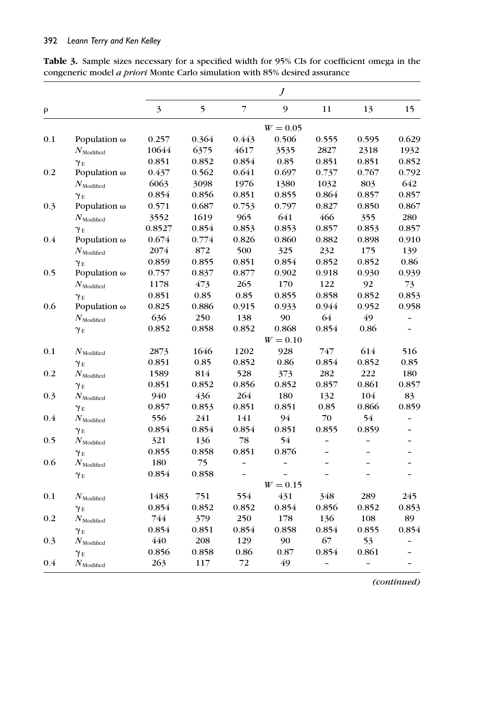|     |                       |        |       |                          | J          |       |       |       |
|-----|-----------------------|--------|-------|--------------------------|------------|-------|-------|-------|
| ρ   |                       | 3      | 5     | $\overline{7}$           | 9          | 11    | 13    | 15    |
|     |                       |        |       |                          | $W = 0.05$ |       |       |       |
| 0.1 | Population $\omega$   | 0.257  | 0.364 | 0.443                    | 0.506      | 0.555 | 0.595 | 0.629 |
|     | $N_{\rm Modified}$    | 10644  | 6375  | 4617                     | 3535       | 2827  | 2318  | 1932  |
|     | $\gamma_E$            | 0.851  | 0.852 | 0.854                    | 0.85       | 0.851 | 0.851 | 0.852 |
| 0.2 | Population $\omega$   | 0.437  | 0.562 | 0.641                    | 0.697      | 0.737 | 0.767 | 0.792 |
|     | $N_{\text{Modified}}$ | 6063   | 3098  | 1976                     | 1380       | 1032  | 803   | 642   |
|     | $\gamma_E$            | 0.854  | 0.856 | 0.851                    | 0.855      | 0.864 | 0.857 | 0.857 |
| 0.3 | Population ω          | 0.571  | 0.687 | 0.753                    | 0.797      | 0.827 | 0.850 | 0.867 |
|     | $N_{\rm Modified}$    | 3552   | 1619  | 965                      | 641        | 466   | 355   | 280   |
|     | $\gamma_E$            | 0.8527 | 0.854 | 0.853                    | 0.853      | 0.857 | 0.853 | 0.857 |
| 0.4 | Population ω          | 0.674  | 0.774 | 0.826                    | 0.860      | 0.882 | 0.898 | 0.910 |
|     | $N_{\rm Modified}$    | 2074   | 872   | 500                      | 325        | 232   | 175   | 139   |
|     | $\gamma_E$            | 0.859  | 0.855 | 0.851                    | 0.854      | 0.852 | 0.852 | 0.86  |
| 0.5 | Population $\omega$   | 0.757  | 0.837 | 0.877                    | 0.902      | 0.918 | 0.930 | 0.939 |
|     | $N_{\rm Modified}$    | 1178   | 473   | 265                      | 170        | 122   | 92    | 73    |
|     | $\gamma_E$            | 0.851  | 0.85  | 0.85                     | 0.855      | 0.858 | 0.852 | 0.853 |
| 0.6 | Population $\omega$   | 0.825  | 0.886 | 0.915                    | 0.933      | 0.944 | 0.952 | 0.958 |
|     | $N_{\rm Modified}$    | 636    | 250   | 138                      | 90         | 64    | 49    |       |
|     | $\gamma_E$            | 0.852  | 0.858 | 0.852                    | 0.868      | 0.854 | 0.86  |       |
|     |                       |        |       |                          | $W = 0.10$ |       |       |       |
| 0.1 | $N_{\rm Modified}$    | 2873   | 1646  | 1202                     | 928        | 747   | 614   | 516   |
|     | $\gamma_E$            | 0.851  | 0.85  | 0.852                    | 0.86       | 0.854 | 0.852 | 0.85  |
| 0.2 | $N_{\rm Modified}$    | 1589   | 814   | 528                      | 373        | 282   | 222   | 180   |
|     | $\gamma_E$            | 0.851  | 0.852 | 0.856                    | 0.852      | 0.857 | 0.861 | 0.857 |
| 0.3 | $N_{\rm Modified}$    | 940    | 436   | 264                      | 180        | 132   | 104   | 83    |
|     | $\gamma_E$            | 0.857  | 0.853 | 0.851                    | 0.851      | 0.85  | 0.866 | 0.859 |
| 0.4 | $N_{\rm Modified}$    | 556    | 241   | 141                      | 94         | 70    | 54    |       |
|     | $\gamma_E$            | 0.854  | 0.854 | 0.854                    | 0.851      | 0.855 | 0.859 |       |
| 0.5 | $N_{\rm Modified}$    | 321    | 136   | 78                       | 54         |       |       |       |
|     | $\gamma_E$            | 0.855  | 0.858 | 0.851                    | 0.876      |       |       |       |
| 0.6 | $N_{\rm Modified}$    | 180    | 75    | $\overline{\phantom{0}}$ |            |       |       |       |
|     | $\gamma_E$            | 0.854  | 0.858 |                          |            |       |       |       |
|     |                       |        |       |                          | $W = 0.15$ |       |       |       |
| 0.1 | $N_{\rm Modified}$    | 1483   | 751   | 554                      | 431        | 348   | 289   | 245   |
|     | $\gamma_E$            | 0.854  | 0.852 | 0.852                    | 0.854      | 0.856 | 0.852 | 0.853 |
| 0.2 | $N_{\rm Modified}$    | 744    | 379   | 250                      | 178        | 136   | 108   | 89    |
|     | $\gamma_E$            | 0.854  | 0.851 | 0.854                    | 0.858      | 0.854 | 0.855 | 0.854 |
| 0.3 | $N_{\rm Modified}$    | 440    | 208   | 129                      | 90         | 67    | 53    |       |
|     | $\gamma_E$            | 0.856  | 0.858 | 0.86                     | 0.87       | 0.854 | 0.861 |       |
| 0.4 | $N_{\rm Modified}$    | 263    | 117   | 72                       | 49         | -     | -     |       |

**Table 3.** Sample sizes necessary for a specified width for 95% CIs for coefficient omega in the congeneric model *a priori* Monte Carlo simulation with 85% desired assurance

*(continued)*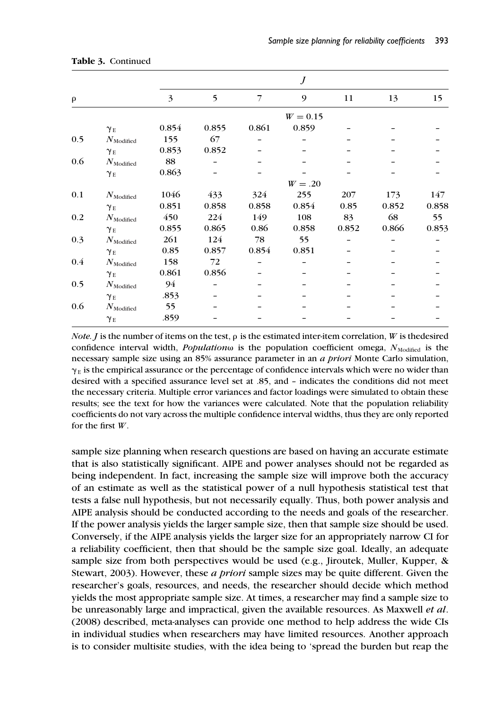|        |                       |       |       |                | J          |       |       |       |
|--------|-----------------------|-------|-------|----------------|------------|-------|-------|-------|
| $\rho$ |                       | 3     | 5     | $\overline{7}$ | 9          | 11    | 13    | 15    |
|        |                       |       |       |                | $W = 0.15$ |       |       |       |
|        | $\gamma_E$            | 0.854 | 0.855 | 0.861          | 0.859      |       |       |       |
| 0.5    | $N_{\rm Modified}$    | 155   | 67    |                |            |       |       |       |
|        | $\gamma_E$            | 0.853 | 0.852 |                |            |       |       |       |
| 0.6    | $N_{\text{Modified}}$ | 88    |       |                |            |       |       |       |
|        | $\gamma_E$            | 0.863 |       |                |            |       |       |       |
|        |                       |       |       |                | $W = .20$  |       |       |       |
| 0.1    | $N_{\rm Modified}$    | 1046  | 433   | 324            | 255        | 207   | 173   | 147   |
|        | $\gamma_E$            | 0.851 | 0.858 | 0.858          | 0.854      | 0.85  | 0.852 | 0.858 |
| 0.2    | $N_{\rm Modified}$    | 450   | 224   | 149            | 108        | 83    | 68    | 55    |
|        | $\gamma_E$            | 0.855 | 0.865 | 0.86           | 0.858      | 0.852 | 0.866 | 0.853 |
| 0.3    | $N_{\rm Modified}$    | 261   | 124   | 78             | 55         |       |       |       |
|        | $\gamma_E$            | 0.85  | 0.857 | 0.854          | 0.851      |       |       |       |
| 0.4    | $N_{\text{Modified}}$ | 158   | 72    |                |            |       |       |       |
|        | $\gamma_E$            | 0.861 | 0.856 |                |            |       |       |       |
| 0.5    | $N_{\rm Modified}$    | 94    |       |                |            |       |       |       |
|        | $\gamma_E$            | .853  |       |                |            |       |       |       |
| 0.6    | $N_{\rm Modified}$    | 55    |       |                |            |       |       |       |
|        | $\gamma_E$            | .859  |       |                |            |       |       |       |

## **Table 3.** Continued

*Note. J* is the number of items on the test,  $\rho$  is the estimated inter-item correlation, *W* is thedesired confidence interval width, *Population* $\omega$  is the population coefficient omega,  $N_{\text{Modified}}$  is the necessary sample size using an 85% assurance parameter in an *a priori* Monte Carlo simulation,  $\gamma_E$  is the empirical assurance or the percentage of confidence intervals which were no wider than desired with a specified assurance level set at .85, and – indicates the conditions did not meet the necessary criteria. Multiple error variances and factor loadings were simulated to obtain these results; see the text for how the variances were calculated. Note that the population reliability coefficients do not vary across the multiple confidence interval widths, thus they are only reported for the first *W*.

sample size planning when research questions are based on having an accurate estimate that is also statistically significant. AIPE and power analyses should not be regarded as being independent. In fact, increasing the sample size will improve both the accuracy of an estimate as well as the statistical power of a null hypothesis statistical test that tests a false null hypothesis, but not necessarily equally. Thus, both power analysis and AIPE analysis should be conducted according to the needs and goals of the researcher. If the power analysis yields the larger sample size, then that sample size should be used. Conversely, if the AIPE analysis yields the larger size for an appropriately narrow CI for a reliability coefficient, then that should be the sample size goal. Ideally, an adequate sample size from both perspectives would be used (e.g., Jiroutek, Muller, Kupper, & Stewart, 2003). However, these *a priori* sample sizes may be quite different. Given the researcher's goals, resources, and needs, the researcher should decide which method yields the most appropriate sample size. At times, a researcher may find a sample size to be unreasonably large and impractical, given the available resources. As Maxwell *et al*. (2008) described, meta-analyses can provide one method to help address the wide CIs in individual studies when researchers may have limited resources. Another approach is to consider multisite studies, with the idea being to 'spread the burden but reap the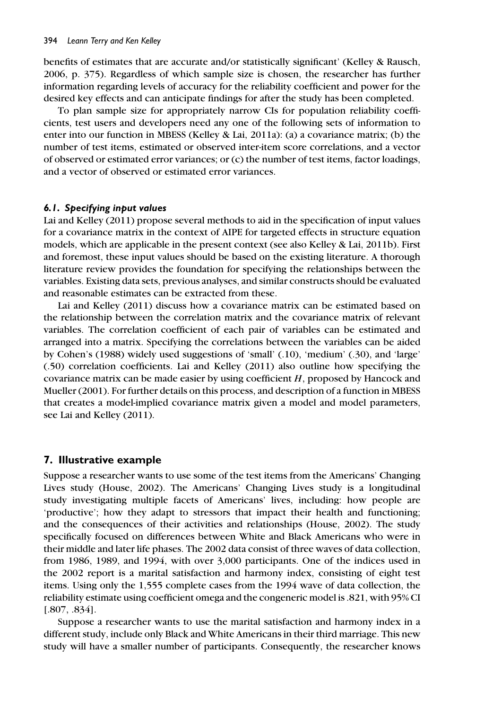benefits of estimates that are accurate and/or statistically significant' (Kelley & Rausch, 2006, p. 375). Regardless of which sample size is chosen, the researcher has further information regarding levels of accuracy for the reliability coefficient and power for the desired key effects and can anticipate findings for after the study has been completed.

To plan sample size for appropriately narrow CIs for population reliability coefficients, test users and developers need any one of the following sets of information to enter into our function in MBESS (Kelley & Lai, 2011a): (a) a covariance matrix; (b) the number of test items, estimated or observed inter-item score correlations, and a vector of observed or estimated error variances; or (c) the number of test items, factor loadings, and a vector of observed or estimated error variances.

## *6.1***.** *Specifying input values*

Lai and Kelley (2011) propose several methods to aid in the specification of input values for a covariance matrix in the context of AIPE for targeted effects in structure equation models, which are applicable in the present context (see also Kelley & Lai, 2011b). First and foremost, these input values should be based on the existing literature. A thorough literature review provides the foundation for specifying the relationships between the variables. Existing data sets, previous analyses, and similar constructs should be evaluated and reasonable estimates can be extracted from these.

Lai and Kelley (2011) discuss how a covariance matrix can be estimated based on the relationship between the correlation matrix and the covariance matrix of relevant variables. The correlation coefficient of each pair of variables can be estimated and arranged into a matrix. Specifying the correlations between the variables can be aided by Cohen's (1988) widely used suggestions of 'small' (.10), 'medium' (.30), and 'large' (.50) correlation coefficients. Lai and Kelley (2011) also outline how specifying the covariance matrix can be made easier by using coefficient *H*, proposed by Hancock and Mueller (2001). For further details on this process, and description of a function in MBESS that creates a model-implied covariance matrix given a model and model parameters, see Lai and Kelley (2011).

## **7. Illustrative example**

Suppose a researcher wants to use some of the test items from the Americans' Changing Lives study (House, 2002). The Americans' Changing Lives study is a longitudinal study investigating multiple facets of Americans' lives, including: how people are 'productive'; how they adapt to stressors that impact their health and functioning; and the consequences of their activities and relationships (House, 2002). The study specifically focused on differences between White and Black Americans who were in their middle and later life phases. The 2002 data consist of three waves of data collection, from 1986, 1989, and 1994, with over 3,000 participants. One of the indices used in the 2002 report is a marital satisfaction and harmony index, consisting of eight test items. Using only the 1,555 complete cases from the 1994 wave of data collection, the reliability estimate using coefficient omega and the congeneric model is .821, with 95% CI [.807, .834].

Suppose a researcher wants to use the marital satisfaction and harmony index in a different study, include only Black and White Americans in their third marriage. This new study will have a smaller number of participants. Consequently, the researcher knows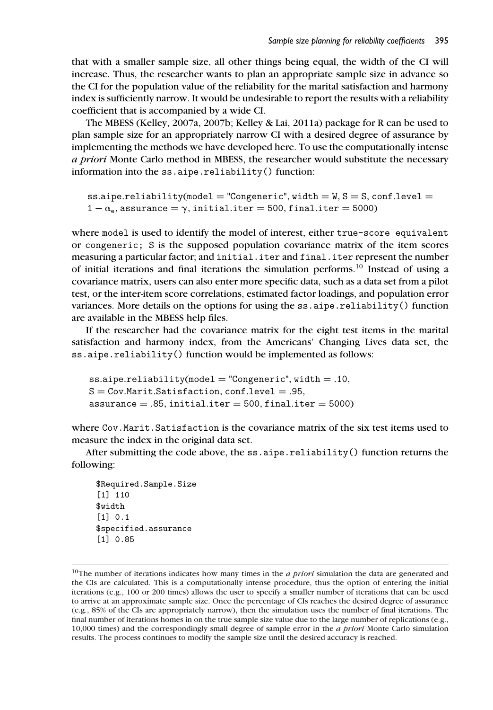that with a smaller sample size, all other things being equal, the width of the CI will increase. Thus, the researcher wants to plan an appropriate sample size in advance so the CI for the population value of the reliability for the marital satisfaction and harmony index is sufficiently narrow. It would be undesirable to report the results with a reliability coefficient that is accompanied by a wide CI.

The MBESS (Kelley, 2007a, 2007b; Kelley & Lai, 2011a) package for R can be used to plan sample size for an appropriately narrow CI with a desired degree of assurance by implementing the methods we have developed here. To use the computationally intense *a priori* Monte Carlo method in MBESS, the researcher would substitute the necessary information into the ss.aipe.reliability() function:

```
ss. aipe. reliability (mode1 = "Congeneric", width = W, S = S, conf. level =1 - \alpha_e, assurance = \gamma, initial.iter = 500, final.iter = 5000)
```
where model is used to identify the model of interest, either true-score equivalent or congeneric; S is the supposed population covariance matrix of the item scores measuring a particular factor; and initial.iter and final.iter represent the number of initial iterations and final iterations the simulation performs.<sup>10</sup> Instead of using a covariance matrix, users can also enter more specific data, such as a data set from a pilot test, or the inter-item score correlations, estimated factor loadings, and population error variances. More details on the options for using the ss.aipe.reliability() function are available in the MBESS help files.

If the researcher had the covariance matrix for the eight test items in the marital satisfaction and harmony index, from the Americans' Changing Lives data set, the ss.aipe.reliability() function would be implemented as follows:

```
ss. aipe. reliability (model = "Congeneric", width = .10,S = Cov.Marit.Satisfactor, conf. level = .95,assurance = .85, initial.iter = 500, final.iter = 5000)
```
where Cov.Marit.Satisfaction is the covariance matrix of the six test items used to measure the index in the original data set.

After submitting the code above, the ss.aipe.reliability() function returns the following:

```
$Required.Sample.Size
[1] 110
$width
[1] 0.1
$specified.assurance
[1] 0.85
```
<sup>&</sup>lt;sup>10</sup>The number of iterations indicates how many times in the *a priori* simulation the data are generated and the CIs are calculated. This is a computationally intense procedure, thus the option of entering the initial iterations (e.g., 100 or 200 times) allows the user to specify a smaller number of iterations that can be used to arrive at an approximate sample size. Once the percentage of CIs reaches the desired degree of assurance (e.g., 85% of the CIs are appropriately narrow), then the simulation uses the number of final iterations. The final number of iterations homes in on the true sample size value due to the large number of replications (e.g., 10,000 times) and the correspondingly small degree of sample error in the *a priori* Monte Carlo simulation results. The process continues to modify the sample size until the desired accuracy is reached.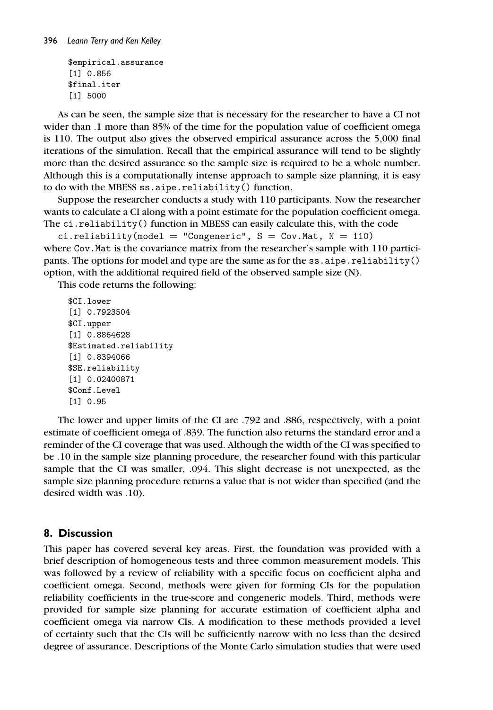```
$empirical.assurance
[1] 0.856
$final.iter
[1] 5000
```
As can be seen, the sample size that is necessary for the researcher to have a CI not wider than .1 more than 85% of the time for the population value of coefficient omega is 110. The output also gives the observed empirical assurance across the 5,000 final iterations of the simulation. Recall that the empirical assurance will tend to be slightly more than the desired assurance so the sample size is required to be a whole number. Although this is a computationally intense approach to sample size planning, it is easy to do with the MBESS ss.aipe.reliability() function.

Suppose the researcher conducts a study with 110 participants. Now the researcher wants to calculate a CI along with a point estimate for the population coefficient omega. The ci.reliability() function in MBESS can easily calculate this, with the code

ci.reliability(model = "Congeneric",  $S = Cov.Mat$ ,  $N = 110$ ) where Cov. Mat is the covariance matrix from the researcher's sample with 110 participants. The options for model and type are the same as for the ss.aipe.reliability() option, with the additional required field of the observed sample size (N).

This code returns the following:

\$CI.lower [1] 0.7923504 \$CI.upper [1] 0.8864628 \$Estimated.reliability [1] 0.8394066 \$SE.reliability [1] 0.02400871 \$Conf.Level [1] 0.95

The lower and upper limits of the CI are .792 and .886, respectively, with a point estimate of coefficient omega of .839. The function also returns the standard error and a reminder of the CI coverage that was used. Although the width of the CI was specified to be .10 in the sample size planning procedure, the researcher found with this particular sample that the CI was smaller, .094. This slight decrease is not unexpected, as the sample size planning procedure returns a value that is not wider than specified (and the desired width was .10).

# **8. Discussion**

This paper has covered several key areas. First, the foundation was provided with a brief description of homogeneous tests and three common measurement models. This was followed by a review of reliability with a specific focus on coefficient alpha and coefficient omega. Second, methods were given for forming CIs for the population reliability coefficients in the true-score and congeneric models. Third, methods were provided for sample size planning for accurate estimation of coefficient alpha and coefficient omega via narrow CIs. A modification to these methods provided a level of certainty such that the CIs will be sufficiently narrow with no less than the desired degree of assurance. Descriptions of the Monte Carlo simulation studies that were used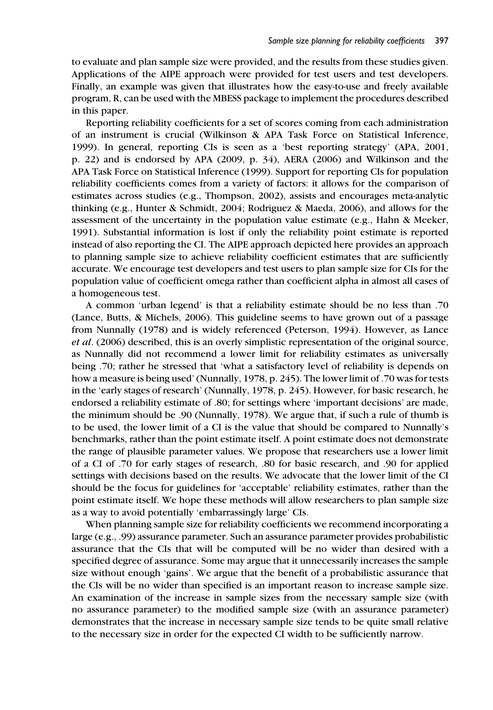to evaluate and plan sample size were provided, and the results from these studies given. Applications of the AIPE approach were provided for test users and test developers. Finally, an example was given that illustrates how the easy-to-use and freely available program, R, can be used with the MBESS package to implement the procedures described in this paper.

Reporting reliability coefficients for a set of scores coming from each administration of an instrument is crucial (Wilkinson & APA Task Force on Statistical Inference, 1999). In general, reporting CIs is seen as a 'best reporting strategy' (APA, 2001, p. 22) and is endorsed by APA (2009, p. 34), AERA (2006) and Wilkinson and the APA Task Force on Statistical Inference (1999). Support for reporting CIs for population reliability coefficients comes from a variety of factors: it allows for the comparison of estimates across studies (e.g., Thompson, 2002), assists and encourages meta-analytic thinking (e.g., Hunter & Schmidt, 2004; Rodriguez & Maeda, 2006), and allows for the assessment of the uncertainty in the population value estimate (e.g., Hahn & Meeker, 1991). Substantial information is lost if only the reliability point estimate is reported instead of also reporting the CI. The AIPE approach depicted here provides an approach to planning sample size to achieve reliability coefficient estimates that are sufficiently accurate. We encourage test developers and test users to plan sample size for CIs for the population value of coefficient omega rather than coefficient alpha in almost all cases of a homogeneous test.

A common 'urban legend' is that a reliability estimate should be no less than .70 (Lance, Butts, & Michels, 2006). This guideline seems to have grown out of a passage from Nunnally (1978) and is widely referenced (Peterson, 1994). However, as Lance *et al*. (2006) described, this is an overly simplistic representation of the original source, as Nunnally did not recommend a lower limit for reliability estimates as universally being .70; rather he stressed that 'what a satisfactory level of reliability is depends on how a measure is being used' (Nunnally, 1978, p. 245). The lower limit of .70 was for tests in the 'early stages of research' (Nunnally, 1978, p. 245). However, for basic research, he endorsed a reliability estimate of .80; for settings where 'important decisions' are made, the minimum should be .90 (Nunnally, 1978). We argue that, if such a rule of thumb is to be used, the lower limit of a CI is the value that should be compared to Nunnally's benchmarks, rather than the point estimate itself. A point estimate does not demonstrate the range of plausible parameter values. We propose that researchers use a lower limit of a CI of .70 for early stages of research, .80 for basic research, and .90 for applied settings with decisions based on the results. We advocate that the lower limit of the CI should be the focus for guidelines for 'acceptable' reliability estimates, rather than the point estimate itself. We hope these methods will allow researchers to plan sample size as a way to avoid potentially 'embarrassingly large' CIs.

When planning sample size for reliability coefficients we recommend incorporating a large (e.g., .99) assurance parameter. Such an assurance parameter provides probabilistic assurance that the CIs that will be computed will be no wider than desired with a specified degree of assurance. Some may argue that it unnecessarily increases the sample size without enough 'gains'. We argue that the benefit of a probabilistic assurance that the CIs will be no wider than specified is an important reason to increase sample size. An examination of the increase in sample sizes from the necessary sample size (with no assurance parameter) to the modified sample size (with an assurance parameter) demonstrates that the increase in necessary sample size tends to be quite small relative to the necessary size in order for the expected CI width to be sufficiently narrow.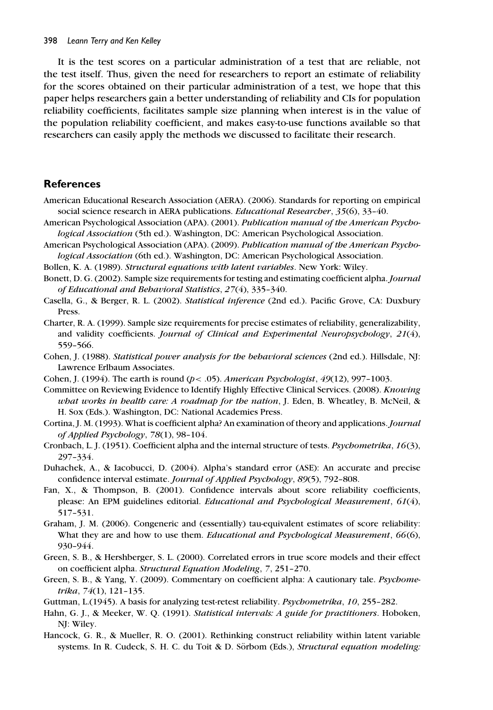#### 398 *Leann Terry and Ken Kelley*

It is the test scores on a particular administration of a test that are reliable, not the test itself. Thus, given the need for researchers to report an estimate of reliability for the scores obtained on their particular administration of a test, we hope that this paper helps researchers gain a better understanding of reliability and CIs for population reliability coefficients, facilitates sample size planning when interest is in the value of the population reliability coefficient, and makes easy-to-use functions available so that researchers can easily apply the methods we discussed to facilitate their research.

## **References**

- American Educational Research Association (AERA). (2006). Standards for reporting on empirical social science research in AERA publications. *Educational Researcher*, *35*(6), 33–40.
- American Psychological Association (APA). (2001). *Publication manual of the American Psychological Association* (5th ed.). Washington, DC: American Psychological Association.
- American Psychological Association (APA). (2009). *Publication manual of the American Psychological Association* (6th ed.). Washington, DC: American Psychological Association.
- Bollen, K. A. (1989). *Structural equations with latent variables*. New York: Wiley.
- Bonett, D. G. (2002). Sample size requirements for testing and estimating coefficient alpha. *Journal of Educational and Behavioral Statistics*, *27*(4), 335–340.
- Casella, G., & Berger, R. L. (2002). *Statistical inference* (2nd ed.). Pacific Grove, CA: Duxbury Press.
- Charter, R. A. (1999). Sample size requirements for precise estimates of reliability, generalizability, and validity coefficients. *Journal of Clinical and Experimental Neuropsychology*, *21*(4), 559–566.
- Cohen, J. (1988). *Statistical power analysis for the behavioral sciences* (2nd ed.). Hillsdale, NJ: Lawrence Erlbaum Associates.
- Cohen, J. (1994). The earth is round (*p*< .05). *American Psychologist*, *49*(12), 997–1003.
- Committee on Reviewing Evidence to Identify Highly Effective Clinical Services. (2008). *Knowing what works in health care: A roadmap for the nation*, J. Eden, B. Wheatley, B. McNeil, & H. Sox (Eds.). Washington, DC: National Academies Press.
- Cortina, J. M. (1993). What is coefficient alpha? An examination of theory and applications. *Journal of Applied Psychology*, *78*(1), 98–104.
- Cronbach, L. J. (1951). Coefficient alpha and the internal structure of tests. *Psychometrika*, *16*(3), 297–334.
- Duhachek, A., & Iacobucci, D. (2004). Alpha's standard error (ASE): An accurate and precise confidence interval estimate. *Journal of Applied Psychology*, *89*(5), 792–808.
- Fan, X., & Thompson, B. (2001). Confidence intervals about score reliability coefficients, please: An EPM guidelines editorial. *Educational and Psychological Measurement*, *61*(4), 517–531.
- Graham, J. M. (2006). Congeneric and (essentially) tau-equivalent estimates of score reliability: What they are and how to use them. *Educational and Psychological Measurement*, *66*(6), 930–944.
- Green, S. B., & Hershberger, S. L. (2000). Correlated errors in true score models and their effect on coefficient alpha. *Structural Equation Modeling*, *7*, 251–270.
- Green, S. B., & Yang, Y. (2009). Commentary on coefficient alpha: A cautionary tale. *Psychometrika*, *74*(1), 121–135.
- Guttman, L.(1945). A basis for analyzing test-retest reliability. *Psychometrika*, *10*, 255–282.
- Hahn, G. J., & Meeker, W. Q. (1991). *Statistical intervals: A guide for practitioners*. Hoboken, NJ: Wiley.
- Hancock, G. R., & Mueller, R. O. (2001). Rethinking construct reliability within latent variable systems. In R. Cudeck, S. H. C. du Toit & D. Sörbom (Eds.), *Structural equation modeling:*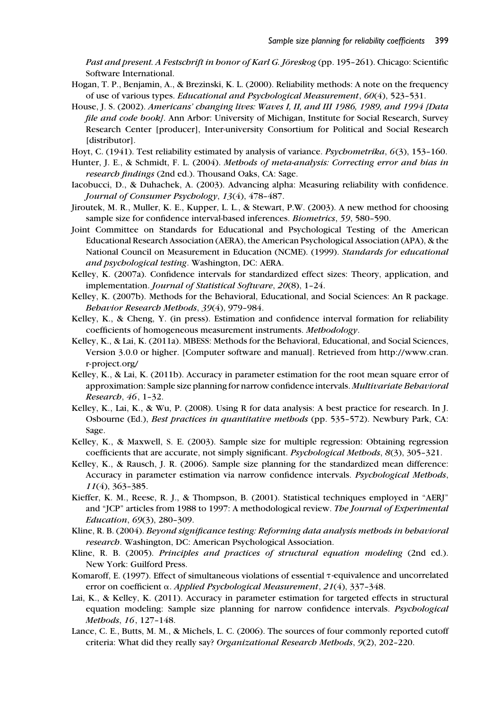*Past and present. A Festschrift in honor of Karl G. Jöreskog* (pp. 195–261). Chicago: Scientific Software International.

- Hogan, T. P., Benjamin, A., & Brezinski, K. L. (2000). Reliability methods: A note on the frequency of use of various types. *Educational and Psychological Measurement*, *60*(4), 523–531.
- House, J. S. (2002). *Americans' changing lives: Waves I, II, and III 1986, 1989, and 1994 [Data file and code book]*. Ann Arbor: University of Michigan, Institute for Social Research, Survey Research Center [producer], Inter-university Consortium for Political and Social Research [distributor].
- Hoyt, C. (1941). Test reliability estimated by analysis of variance. *Psychometrika*, *6*(3), 153–160.
- Hunter, J. E., & Schmidt, F. L. (2004). *Methods of meta-analysis: Correcting error and bias in research findings* (2nd ed.). Thousand Oaks, CA: Sage.
- Iacobucci, D., & Duhachek, A. (2003). Advancing alpha: Measuring reliability with confidence. *Journal of Consumer Psychology*, *13*(4), 478–487.
- Jiroutek, M. R., Muller, K. E., Kupper, L. L., & Stewart, P.W. (2003). A new method for choosing sample size for confidence interval-based inferences. *Biometrics*, *59*, 580–590.
- Joint Committee on Standards for Educational and Psychological Testing of the American Educational Research Association (AERA), the American Psychological Association (APA), & the National Council on Measurement in Education (NCME). (1999). *Standards for educational and psychological testing*. Washington, DC: AERA.
- Kelley, K. (2007a). Confidence intervals for standardized effect sizes: Theory, application, and implementation. *Journal of Statistical Software*, *20*(8), 1–24.
- Kelley, K. (2007b). Methods for the Behavioral, Educational, and Social Sciences: An R package. *Behavior Research Methods*, *39*(4), 979–984.
- Kelley, K., & Cheng, Y. (in press). Estimation and confidence interval formation for reliability coefficients of homogeneous measurement instruments. *Methodology*.
- Kelley, K., & Lai, K. (2011a). MBESS: Methods for the Behavioral, Educational, and Social Sciences, Version 3.0.0 or higher. [Computer software and manual]. Retrieved from http://www.cran. r-project.org/
- Kelley, K., & Lai, K. (2011b). Accuracy in parameter estimation for the root mean square error of approximation: Sample size planning for narrow confidence intervals. *Multivariate Behavioral Research*, *46*, 1–32.
- Kelley, K., Lai, K., & Wu, P. (2008). Using R for data analysis: A best practice for research. In J. Osbourne (Ed.), *Best practices in quantitative methods* (pp. 535–572). Newbury Park, CA: Sage.
- Kelley, K., & Maxwell, S. E. (2003). Sample size for multiple regression: Obtaining regression coefficients that are accurate, not simply significant. *Psychological Methods*, *8*(3), 305–321.
- Kelley, K., & Rausch, J. R. (2006). Sample size planning for the standardized mean difference: Accuracy in parameter estimation via narrow confidence intervals. *Psychological Methods*, *11*(4), 363–385.
- Kieffer, K. M., Reese, R. J., & Thompson, B. (2001). Statistical techniques employed in "AERJ" and "JCP" articles from 1988 to 1997: A methodological review. *The Journal of Experimental Education*, *69*(3), 280–309.
- Kline, R. B. (2004). *Beyond significance testing: Reforming data analysis methods in behavioral research*. Washington, DC: American Psychological Association.
- Kline, R. B. (2005). *Principles and practices of structural equation modeling* (2nd ed.). New York: Guilford Press.
- Komaroff, E. (1997). Effect of simultaneous violations of essential  $\tau$ -equivalence and uncorrelated error on coefficient  $\alpha$ . *Applied Psychological Measurement*, 21(4), 337-348.
- Lai, K., & Kelley, K. (2011). Accuracy in parameter estimation for targeted effects in structural equation modeling: Sample size planning for narrow confidence intervals. *Psychological Methods*, *16*, 127–148.
- Lance, C. E., Butts, M. M., & Michels, L. C. (2006). The sources of four commonly reported cutoff criteria: What did they really say? *Organizational Research Methods*, *9*(2), 202–220.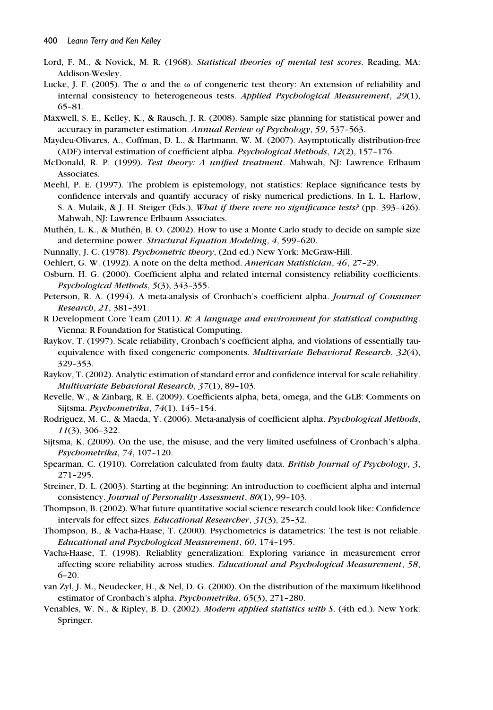- Lord, F. M., & Novick, M. R. (1968). *Statistical theories of mental test scores*. Reading, MA: Addison-Wesley.
- Lucke, J. F. (2005). The  $\alpha$  and the  $\omega$  of congeneric test theory: An extension of reliability and internal consistency to heterogeneous tests. *Applied Psychological Measurement*, *29*(1), 65–81.
- Maxwell, S. E., Kelley, K., & Rausch, J. R. (2008). Sample size planning for statistical power and accuracy in parameter estimation. *Annual Review of Psychology*, *59*, 537–563.
- Maydeu-Olivares, A., Coffman, D. L., & Hartmann, W. M. (2007). Asymptotically distribution-free (ADF) interval estimation of coefficient alpha. *Psychological Methods*, *12*(2), 157–176.
- McDonald, R. P. (1999). *Test theory: A unified treatment*. Mahwah, NJ: Lawrence Erlbaum Associates.
- Meehl, P. E. (1997). The problem is epistemology, not statistics: Replace significance tests by confidence intervals and quantify accuracy of risky numerical predictions. In L. L. Harlow, S. A. Mulaik, & J. H. Steiger (Eds.), *What if there were no significance tests?* (pp. 393–426). Mahwah, NJ: Lawrence Erlbaum Associates.
- Muthén, L. K., & Muthén, B. O. (2002). How to use a Monte Carlo study to decide on sample size and determine power. *Structural Equation Modeling*, *4*, 599–620.
- Nunnally, J. C. (1978). *Psychometric theory*, (2nd ed.) New York: McGraw-Hill.
- Oehlert, G. W. (1992). A note on the delta method. *American Statistician*, *46*, 27–29.
- Osburn, H. G. (2000). Coefficient alpha and related internal consistency reliability coefficients. *Psychological Methods*, *5*(3), 343–355.
- Peterson, R. A. (1994). A meta-analysis of Cronbach's coefficient alpha. *Journal of Consumer Research*, *21*, 381–391.
- R Development Core Team (2011). *R: A language and environment for statistical computing*. Vienna: R Foundation for Statistical Computing.
- Raykov, T. (1997). Scale reliability, Cronbach's coefficient alpha, and violations of essentially tauequivalence with fixed congeneric components. *Multivariate Behavioral Research*, *32*(4), 329–353.
- Raykov, T. (2002). Analytic estimation of standard error and confidence interval for scale reliability. *Multivariate Behavioral Research*, *37*(1), 89–103.
- Revelle, W., & Zinbarg, R. E. (2009). Coefficients alpha, beta, omega, and the GLB: Comments on Sijtsma. *Psychometrika*, *74*(1), 145–154.
- Rodriguez, M. C., & Maeda, Y. (2006). Meta-analysis of coefficient alpha. *Psychological Methods*, *11*(3), 306–322.
- Sijtsma, K. (2009). On the use, the misuse, and the very limited usefulness of Cronbach's alpha. *Psychometrika*, *74*, 107–120.
- Spearman, C. (1910). Correlation calculated from faulty data. *British Journal of Psychology*, *3*, 271–295.
- Streiner, D. L. (2003). Starting at the beginning: An introduction to coefficient alpha and internal consistency. *Journal of Personality Assessment*, *80*(1), 99–103.
- Thompson, B. (2002). What future quantitative social science research could look like: Confidence intervals for effect sizes. *Educational Researcher*, *31*(3), 25–32.
- Thompson, B., & Vacha-Haase, T. (2000). Psychometrics is datametrics: The test is not reliable. *Educational and Psychological Measurement*, *60*, 174–195.
- Vacha-Haase, T. (1998). Reliablity generalization: Exploring variance in measurement error affecting score reliability across studies. *Educational and Psychological Measurement*, *58*, 6–20.
- van Zyl, J. M., Neudecker, H., & Nel, D. G. (2000). On the distribution of the maximum likelihood estimator of Cronbach's alpha. *Psychometrika*, *65*(3), 271–280.
- Venables, W. N., & Ripley, B. D. (2002). *Modern applied statistics with S*. (4th ed.). New York: Springer.